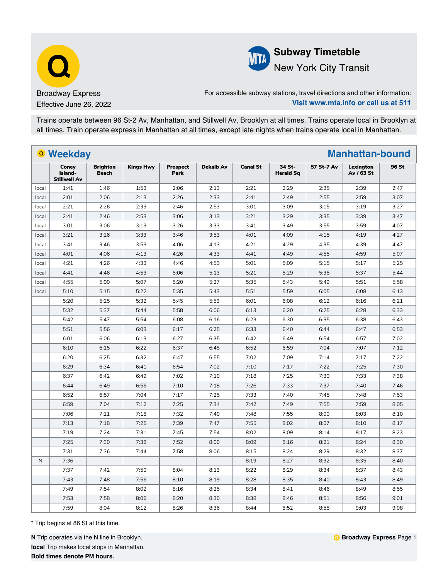



## New York City Transit

For accessible subway stations, travel directions and other information: **Visit www.mta.info or call us at 511**

Trains operate between 96 St-2 Av, Manhattan, and Stillwell Av, Brooklyn at all times. Trains operate local in Brooklyn at all times. Train operate express in Manhattan at all times, except late nights when trains operate local in Manhattan.

|       | <sup>Q</sup> Weekday                    |                                 |                          |                         |                          |                 |                            |            | <b>Manhattan-bound</b>  |       |
|-------|-----------------------------------------|---------------------------------|--------------------------|-------------------------|--------------------------|-----------------|----------------------------|------------|-------------------------|-------|
|       | Conev<br>Island-<br><b>Stillwell Av</b> | <b>Brighton</b><br><b>Beach</b> | <b>Kings Hwy</b>         | <b>Prospect</b><br>Park | <b>Dekalb Av</b>         | <b>Canal St</b> | 34 St-<br><b>Herald Sq</b> | 57 St-7 Av | Lexington<br>Av / 63 St | 96 St |
| local | 1:41                                    | 1:46                            | 1:53                     | 2:06                    | 2:13                     | 2:21            | 2:29                       | 2:35       | 2:39                    | 2:47  |
| local | 2:01                                    | 2:06                            | 2:13                     | 2:26                    | 2:33                     | 2:41            | 2:49                       | 2:55       | 2:59                    | 3:07  |
| local | 2:21                                    | 2:26                            | 2:33                     | 2:46                    | 2:53                     | 3:01            | 3:09                       | 3:15       | 3:19                    | 3:27  |
| local | 2:41                                    | 2:46                            | 2:53                     | 3:06                    | 3:13                     | 3:21            | 3:29                       | 3:35       | 3:39                    | 3:47  |
| local | 3:01                                    | 3:06                            | 3:13                     | 3:26                    | 3:33                     | 3:41            | 3:49                       | 3:55       | 3:59                    | 4:07  |
| local | 3:21                                    | 3:26                            | 3:33                     | 3:46                    | 3:53                     | 4:01            | 4:09                       | 4:15       | 4:19                    | 4:27  |
| local | 3:41                                    | 3:46                            | 3:53                     | 4:06                    | 4:13                     | 4:21            | 4:29                       | 4:35       | 4:39                    | 4:47  |
| local | 4:01                                    | 4:06                            | 4:13                     | 4:26                    | 4:33                     | 4:41            | 4:49                       | 4:55       | 4:59                    | 5:07  |
| local | 4:21                                    | 4:26                            | 4:33                     | 4:46                    | 4:53                     | 5:01            | 5:09                       | 5:15       | 5:17                    | 5:25  |
| local | 4:41                                    | 4:46                            | 4:53                     | 5:06                    | 5:13                     | 5:21            | 5:29                       | 5:35       | 5:37                    | 5:44  |
| local | 4:55                                    | 5:00                            | 5:07                     | 5:20                    | 5:27                     | 5:35            | 5:43                       | 5:49       | 5:51                    | 5:58  |
| local | 5:10                                    | 5:15                            | 5:22                     | 5:35                    | 5:43                     | 5:51            | 5:59                       | 6:05       | 6:08                    | 6:13  |
|       | 5:20                                    | 5:25                            | 5:32                     | 5:45                    | 5:53                     | 6:01            | 6:08                       | 6:12       | 6:16                    | 6:21  |
|       | 5:32                                    | 5:37                            | 5:44                     | 5:58                    | 6:06                     | 6:13            | 6:20                       | 6:25       | 6:28                    | 6:33  |
|       | 5:42                                    | 5:47                            | 5:54                     | 6:08                    | 6:16                     | 6:23            | 6:30                       | 6:35       | 6:38                    | 6:43  |
|       | 5:51                                    | 5:56                            | 6:03                     | 6:17                    | 6:25                     | 6:33            | 6:40                       | 6:44       | 6:47                    | 6:53  |
|       | 6:01                                    | 6:06                            | 6:13                     | 6:27                    | 6:35                     | 6:42            | 6:49                       | 6:54       | 6:57                    | 7:02  |
|       | 6:10                                    | 6:15                            | 6:22                     | 6:37                    | 6:45                     | 6:52            | 6:59                       | 7:04       | 7:07                    | 7:12  |
|       | 6:20                                    | 6:25                            | 6:32                     | 6:47                    | 6:55                     | 7:02            | 7:09                       | 7:14       | 7:17                    | 7:22  |
|       | 6:29                                    | 6:34                            | 6:41                     | 6:54                    | 7:02                     | 7:10            | 7:17                       | 7:22       | 7:25                    | 7:30  |
|       | 6:37                                    | 6:42                            | 6:49                     | 7:02                    | 7:10                     | 7:18            | 7:25                       | 7:30       | 7:33                    | 7:38  |
|       | 6:44                                    | 6:49                            | 6:56                     | 7:10                    | 7:18                     | 7:26            | 7:33                       | 7:37       | 7:40                    | 7:46  |
|       | 6:52                                    | 6:57                            | 7:04                     | 7:17                    | 7:25                     | 7:33            | 7:40                       | 7:45       | 7:48                    | 7:53  |
|       | 6:59                                    | 7:04                            | 7:12                     | 7:25                    | 7:34                     | 7:42            | 7:49                       | 7:55       | 7:59                    | 8:05  |
|       | 7:06                                    | 7:11                            | 7:18                     | 7:32                    | 7:40                     | 7:48            | 7:55                       | 8:00       | 8:03                    | 8:10  |
|       | 7:13                                    | 7:18                            | 7:25                     | 7:39                    | 7:47                     | 7:55            | 8:02                       | 8:07       | 8:10                    | 8:17  |
|       | 7:19                                    | 7:24                            | 7:31                     | 7:45                    | 7:54                     | 8:02            | 8:09                       | 8:14       | 8:17                    | 8:23  |
|       | 7:25                                    | 7:30                            | 7:38                     | 7:52                    | 8:00                     | 8:09            | 8:16                       | 8:21       | 8:24                    | 8:30  |
|       | 7:31                                    | 7:36                            | 7:44                     | 7:58                    | 8:06                     | 8:15            | 8:24                       | 8:29       | 8:32                    | 8:37  |
| N     | 7:36                                    | $\overline{a}$                  | $\overline{\phantom{a}}$ | $\overline{a}$          | $\overline{\phantom{a}}$ | 8:19            | 8:27                       | 8:32       | 8:35                    | 8:40  |
|       | 7:37                                    | 7:42                            | 7:50                     | 8:04                    | 8:13                     | 8:22            | 8:29                       | 8:34       | 8:37                    | 8:43  |
|       | 7:43                                    | 7:48                            | 7:56                     | 8:10                    | 8:19                     | 8:28            | 8:35                       | 8:40       | 8:43                    | 8:49  |
|       | 7:49                                    | 7:54                            | 8:02                     | 8:16                    | 8:25                     | 8:34            | 8:41                       | 8:46       | 8:49                    | 8:55  |
|       | 7:53                                    | 7:58                            | 8:06                     | 8:20                    | 8:30                     | 8:38            | 8:46                       | 8:51       | 8:56                    | 9:01  |
|       | 7:59                                    | 8:04                            | 8:12                     | 8:26                    | 8:36                     | 8:44            | 8:52                       | 8:58       | 9:03                    | 9:08  |

\* Trip begins at 86 St at this time.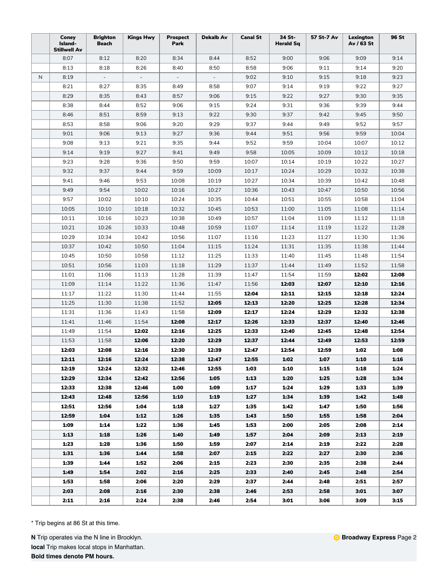|   | Coney<br>Island-<br><b>Stillwell Av</b> | <b>Brighton</b><br><b>Beach</b> | <b>Kings Hwy</b>         | <b>Prospect</b><br>Park  | <b>Dekalb Av</b>         | Canal St | 34 St-<br><b>Herald Sq</b> | 57 St-7 Av | Lexington<br>Av / 63 St | 96 St |
|---|-----------------------------------------|---------------------------------|--------------------------|--------------------------|--------------------------|----------|----------------------------|------------|-------------------------|-------|
|   | 8:07                                    | 8:12                            | 8:20                     | 8:34                     | 8:44                     | 8:52     | 9:00                       | 9:06       | 9:09                    | 9:14  |
|   | 8:13                                    | 8:18                            | 8:26                     | 8:40                     | 8:50                     | 8:58     | 9:06                       | 9:11       | 9:14                    | 9:20  |
| N | 8:19                                    | $\overline{\phantom{a}}$        | $\overline{\phantom{a}}$ | $\overline{\phantom{a}}$ | $\overline{\phantom{a}}$ | 9:02     | 9:10                       | 9:15       | 9:18                    | 9:23  |
|   | 8:21                                    | 8:27                            | 8:35                     | 8:49                     | 8:58                     | 9:07     | 9:14                       | 9:19       | 9:22                    | 9:27  |
|   | 8:29                                    | 8:35                            | 8:43                     | 8:57                     | 9:06                     | 9:15     | 9:22                       | 9:27       | 9:30                    | 9:35  |
|   | 8:38                                    | 8:44                            | 8:52                     | 9:06                     | 9:15                     | 9:24     | 9:31                       | 9:36       | 9:39                    | 9:44  |
|   | 8:46                                    | 8:51                            | 8:59                     | 9:13                     | 9:22                     | 9:30     | 9:37                       | 9:42       | 9:45                    | 9:50  |
|   | 8:53                                    | 8:58                            | 9:06                     | 9:20                     | 9:29                     | 9:37     | 9:44                       | 9:49       | 9:52                    | 9:57  |
|   | 9:01                                    | 9:06                            | 9:13                     | 9:27                     | 9:36                     | 9:44     | 9:51                       | 9:56       | 9:59                    | 10:04 |
|   | 9:08                                    | 9:13                            | 9:21                     | 9:35                     | 9:44                     | 9:52     | 9:59                       | 10:04      | 10:07                   | 10:12 |
|   | 9:14                                    | 9:19                            | 9:27                     | 9:41                     | 9:49                     | 9:58     | 10:05                      | 10:09      | 10:12                   | 10:18 |
|   | 9:23                                    | 9:28                            | 9:36                     | 9:50                     | 9:59                     | 10:07    | 10:14                      | 10:19      | 10:22                   | 10:27 |
|   | 9:32                                    | 9:37                            | 9:44                     | 9:59                     | 10:09                    | 10:17    | 10:24                      | 10:29      | 10:32                   | 10:38 |
|   | 9:41                                    | 9:46                            | 9:53                     | 10:08                    | 10:19                    | 10:27    | 10:34                      | 10:39      | 10:42                   | 10:48 |
|   | 9:49                                    | 9:54                            | 10:02                    | 10:16                    | 10:27                    | 10:36    | 10:43                      | 10:47      | 10:50                   | 10:56 |
|   | 9:57                                    | 10:02                           | 10:10                    | 10:24                    | 10:35                    | 10:44    | 10:51                      | 10:55      | 10:58                   | 11:04 |
|   | 10:05                                   | 10:10                           | 10:18                    | 10:32                    | 10:45                    | 10:53    | 11:00                      | 11:05      | 11:08                   | 11:14 |
|   | 10:11                                   | 10:16                           | 10:23                    | 10:38                    | 10:49                    | 10:57    | 11:04                      | 11:09      | 11:12                   | 11:18 |
|   | 10:21                                   | 10:26                           | 10:33                    | 10:48                    | 10:59                    | 11:07    | 11:14                      | 11:19      | 11:22                   | 11:28 |
|   | 10:29                                   | 10:34                           | 10:42                    | 10:56                    | 11:07                    | 11:16    | 11:23                      | 11:27      | 11:30                   | 11:36 |
|   | 10:37                                   | 10:42                           | 10:50                    | 11:04                    | 11:15                    | 11:24    | 11:31                      | 11:35      | 11:38                   | 11:44 |
|   | 10:45                                   | 10:50                           | 10:58                    | 11:12                    | 11:25                    | 11:33    | 11:40                      | 11:45      | 11:48                   | 11:54 |
|   | 10:51                                   | 10:56                           | 11:03                    | 11:18                    | 11:29                    | 11:37    | 11:44                      | 11:49      | 11:52                   | 11:58 |
|   | 11:01                                   | 11:06                           | 11:13                    | 11:28                    | 11:39                    | 11:47    | 11:54                      | 11:59      | 12:02                   | 12:08 |
|   | 11:09                                   | 11:14                           | 11:22                    | 11:36                    | 11:47                    | 11:56    | 12:03                      | 12:07      | 12:10                   | 12:16 |
|   | 11:17                                   | 11:22                           | 11:30                    | 11:44                    | 11:55                    | 12:04    | 12:11                      | 12:15      | 12:18                   | 12:24 |
|   | 11:25                                   | 11:30                           | 11:38                    | 11:52                    | 12:05                    | 12:13    | 12:20                      | 12:25      | 12:28                   | 12:34 |
|   | 11:31                                   | 11:36                           | 11:43                    | 11:58                    | 12:09                    | 12:17    | 12:24                      | 12:29      | 12:32                   | 12:38 |
|   | 11:41                                   | 11:46                           | 11:54                    | 12:08                    | 12:17                    | 12:26    | 12:33                      | 12:37      | 12:40                   | 12:46 |
|   | 11:49                                   | 11:54                           | 12:02                    | 12:16                    | 12:25                    | 12:33    | 12:40                      | 12:45      | 12:48                   | 12:54 |
|   | 11:53                                   | 11:58                           | 12:06                    | 12:20                    | 12:29                    | 12:37    | 12:44                      | 12:49      | 12:53                   | 12:59 |
|   | 12:03                                   | 12:08                           | 12:16                    | 12:30                    | 12:39                    | 12:47    | 12:54                      | 12:59      | 1:02                    | 1:08  |
|   | 12:11                                   | 12:16                           | 12:24                    | 12:38                    | 12:47                    | 12:55    | 1:02                       | 1:07       | 1:10                    | 1:16  |
|   | 12:19                                   | 12:24                           | 12:32                    | 12:46                    | 12:55                    | 1:03     | 1:10                       | 1:15       | 1:18                    | 1:24  |
|   | 12:29                                   | 12:34                           | 12:42                    | 12:56                    | 1:05                     | 1:13     | 1:20                       | 1:25       | 1:28                    | 1:34  |
|   | 12:33                                   | 12:38                           | 12:46                    | 1:00                     | 1:09                     | 1:17     | 1:24                       | 1:29       | 1:33                    | 1:39  |
|   | 12:43                                   | 12:48                           | 12:56                    | 1:10                     | 1:19                     | 1:27     | 1:34                       | 1:39       | 1:42                    | 1:48  |
|   | 12:51                                   | 12:56                           | 1:04                     | 1:18                     | 1:27                     | 1:35     | 1:42                       | 1:47       | 1:50                    | 1:56  |
|   | 12:59                                   | 1:04                            | 1:12                     | 1:26                     | 1:35                     | 1:43     | 1:50                       | 1:55       | 1:58                    | 2:04  |
|   | 1:09                                    | 1:14                            | 1:22                     | 1:36                     | 1:45                     | 1:53     | 2:00                       | 2:05       | 2:08                    | 2:14  |
|   | 1:13                                    | 1:18                            | 1:26                     | 1:40                     | 1:49                     | 1:57     | 2:04                       | 2:09       | 2:13                    | 2:19  |
|   | 1:23                                    | 1:28                            | 1:36                     | 1:50                     | 1:59                     | 2:07     | 2:14                       | 2:19       | 2:22                    | 2:28  |
|   | 1:31                                    | 1:36                            | 1:44                     | 1:58                     | 2:07                     | 2:15     | 2:22                       | 2:27       | 2:30                    | 2:36  |
|   | 1:39                                    | 1:44                            | 1:52                     | 2:06                     | 2:15                     | 2:23     | 2:30                       | 2:35       | 2:38                    | 2:44  |
|   | 1:49                                    | 1:54                            | 2:02                     | 2:16                     | 2:25                     | 2:33     | 2:40                       | 2:45       | 2:48                    | 2:54  |
|   | 1:53                                    | 1:58                            | 2:06                     | 2:20                     | 2:29                     | 2:37     | 2:44                       | 2:48       | 2:51                    | 2:57  |
|   | 2:03                                    | 2:08                            | 2:16                     | 2:30                     | 2:38                     | 2:46     | 2:53                       | 2:58       | 3:01                    | 3:07  |
|   | 2:11                                    | 2:16                            | 2:24                     | 2:38                     | 2:46                     | 2:54     | 3:01                       | 3:06       | 3:09                    | 3:15  |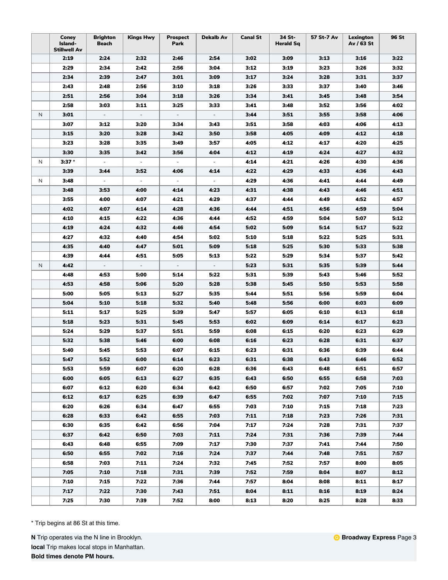|   | Coney<br>Island-<br><b>Stillwell Av</b> | <b>Brighton</b><br><b>Beach</b> | <b>Kings Hwy</b>         | <b>Prospect</b><br>Park     | <b>Dekalb Av</b>         | <b>Canal St</b> | 34 St-<br><b>Herald Sq</b> | 57 St-7 Av | Lexington<br>Av / 63 St | 96 St |
|---|-----------------------------------------|---------------------------------|--------------------------|-----------------------------|--------------------------|-----------------|----------------------------|------------|-------------------------|-------|
|   | 2:19                                    | 2:24                            | 2:32                     | 2:46                        | 2:54                     | 3:02            | 3:09                       | 3:13       | 3:16                    | 3:22  |
|   | 2:29                                    | 2:34                            | 2:42                     | 2:56                        | 3:04                     | 3:12            | 3:19                       | 3:23       | 3:26                    | 3:32  |
|   | 2:34                                    | 2:39                            | 2:47                     | 3:01                        | 3:09                     | 3:17            | 3:24                       | 3:28       | 3:31                    | 3:37  |
|   | 2:43                                    | 2:48                            | 2:56                     | 3:10                        | 3:18                     | 3:26            | 3:33                       | 3:37       | 3:40                    | 3:46  |
|   | 2:51                                    | 2:56                            | 3:04                     | 3:18                        | 3:26                     | 3:34            | 3:41                       | 3:45       | 3:48                    | 3:54  |
|   | 2:58                                    | 3:03                            | 3:11                     | 3:25                        | 3:33                     | 3:41            | 3:48                       | 3:52       | 3:56                    | 4:02  |
| N | 3:01                                    | $\overline{\phantom{a}}$        | $\overline{\phantom{a}}$ | $\overline{\phantom{a}}$    | $\overline{\phantom{a}}$ | 3:44            | 3:51                       | 3:55       | 3:58                    | 4:06  |
|   | 3:07                                    | 3:12                            | 3:20                     | 3:34                        | 3:43                     | 3:51            | 3:58                       | 4:03       | 4:06                    | 4:13  |
|   | 3:15                                    | 3:20                            | 3:28                     | 3:42                        | 3:50                     | 3:58            | 4:05                       | 4:09       | 4:12                    | 4:18  |
|   | 3:23                                    | 3:28                            | 3:35                     | 3:49                        | 3:57                     | 4:05            | 4:12                       | 4:17       | 4:20                    | 4:25  |
|   | 3:30                                    | 3:35                            | 3:42                     | 3:56                        | 4:04                     | 4:12            | 4:19                       | 4:24       | 4:27                    | 4:32  |
| N | $3:37 *$                                | $\overline{\phantom{a}}$        | $\overline{\phantom{a}}$ | $\overline{\phantom{a}}$    | $\overline{\phantom{a}}$ | 4:14            | 4:21                       | 4:26       | 4:30                    | 4:36  |
|   | 3:39                                    | 3:44                            | 3:52                     | 4:06                        | 4:14                     | 4:22            | 4:29                       | 4:33       | 4:36                    | 4:43  |
| N | 3:48                                    | $\blacksquare$                  | $\overline{\phantom{a}}$ | $\mathcal{L}_{\mathcal{A}}$ | $\sim$                   | 4:29            | 4:36                       | 4:41       | 4:44                    | 4:49  |
|   | 3:48                                    | 3:53                            | 4:00                     | 4:14                        | 4:23                     | 4:31            | 4:38                       | 4:43       | 4:46                    | 4:51  |
|   | 3:55                                    | 4:00                            | 4:07                     | 4:21                        | 4:29                     | 4:37            | 4:44                       | 4:49       | 4:52                    | 4:57  |
|   | 4:02                                    | 4:07                            | 4:14                     | 4:28                        | 4:36                     | 4:44            | 4:51                       | 4:56       | 4:59                    | 5:04  |
|   | 4:10                                    | 4:15                            | 4:22                     | 4:36                        | 4:44                     | 4:52            | 4:59                       | 5:04       | 5:07                    | 5:12  |
|   | 4:19                                    | 4:24                            | 4:32                     | 4:46                        | 4:54                     | 5:02            | 5:09                       | 5:14       | 5:17                    | 5:22  |
|   | 4:27                                    | 4:32                            | 4:40                     | 4:54                        | 5:02                     | 5:10            | 5:18                       | 5:22       | 5:25                    | 5:31  |
|   | 4:35                                    | 4:40                            | 4:47                     | 5:01                        | 5:09                     | 5:18            | 5:25                       | 5:30       | 5:33                    | 5:38  |
|   | 4:39                                    | 4:44                            | 4:51                     | 5:05                        | 5:13                     | 5:22            | 5:29                       | 5:34       | 5:37                    | 5:42  |
| N | 4:42                                    | $\overline{\phantom{a}}$        | $\overline{\phantom{a}}$ | $\overline{\phantom{a}}$    | $\overline{\phantom{a}}$ | 5:23            | 5:31                       | 5:35       | 5:39                    | 5:44  |
|   | 4:48                                    | 4:53                            | 5:00                     | 5:14                        | 5:22                     | 5:31            | 5:39                       | 5:43       | 5:46                    | 5:52  |
|   | 4:53                                    | 4:58                            | 5:06                     | 5:20                        | 5:28                     | 5:38            | 5:45                       | 5:50       | 5:53                    | 5:58  |
|   | 5:00                                    | 5:05                            | 5:13                     | 5:27                        | 5:35                     | 5:44            | 5:51                       | 5:56       | 5:59                    | 6:04  |
|   | 5:04                                    | 5:10                            | 5:18                     | 5:32                        | 5:40                     | 5:48            | 5:56                       | 6:00       | 6:03                    | 6:09  |
|   | 5:11                                    | 5:17                            | 5:25                     | 5:39                        | 5:47                     | 5:57            | 6:05                       | 6:10       | 6:13                    | 6:18  |
|   | 5:18                                    | 5:23                            | 5:31                     | 5:45                        | 5:53                     | 6:02            | 6:09                       | 6:14       | 6:17                    | 6:23  |
|   | 5:24                                    | 5:29                            | 5:37                     | 5:51                        | 5:59                     | 6:08            | 6:15                       | 6:20       | 6:23                    | 6:29  |
|   | 5:32                                    | 5:38                            | 5:46                     | 6:00                        | 6:08                     | 6:16            | 6:23                       | 6:28       | 6:31                    | 6:37  |
|   | 5:40                                    | 5:45                            | 5:53                     | 6:07                        | 6:15                     | 6:23            | 6:31                       | 6:36       | 6:39                    | 6:44  |
|   | 5:47                                    | 5:52                            | 6:00                     | 6:14                        | 6:23                     | 6:31            | 6:38                       | 6:43       | 6:46                    | 6:52  |
|   | 5:53                                    | 5:59                            | 6:07                     | 6:20                        | 6:28                     | 6:36            | 6:43                       | 6:48       | 6:51                    | 6:57  |
|   | 6:00                                    | 6:05                            | 6:13                     | 6:27                        | 6:35                     | 6:43            | 6:50                       | 6:55       | 6:58                    | 7:03  |
|   | 6:07                                    | 6:12                            | 6:20                     | 6:34                        | 6:42                     | 6:50            | 6:57                       | 7:02       | 7:05                    | 7:10  |
|   | 6:12                                    | 6:17                            | 6:25                     | 6:39                        | 6:47                     | 6:55            | 7:02                       | 7:07       | 7:10                    | 7:15  |
|   | 6:20                                    | 6:26                            | 6:34                     | 6:47                        | 6:55                     | 7:03            | 7:10                       | 7:15       | 7:18                    | 7:23  |
|   | 6:28                                    | 6:33                            | 6:42                     | 6:55                        | 7:03                     | 7:11            | 7:18                       | 7:23       | 7:26                    | 7:31  |
|   | 6:30                                    | 6:35                            | 6:42                     | 6:56                        | 7:04                     | 7:17            | 7:24                       | 7:28       | 7:31                    | 7:37  |
|   | 6:37                                    | 6:42                            | 6:50                     | 7:03                        | 7:11                     | 7:24            | 7:31                       | 7:36       | 7:39                    | 7:44  |
|   | 6:43                                    | 6:48                            | 6:55                     | 7:09                        | 7:17                     | 7:30            | 7:37                       | 7:41       | 7:44                    | 7:50  |
|   | 6:50                                    | 6:55                            | 7:02                     | 7:16                        | 7:24                     | 7:37            | 7:44                       | 7:48       | 7:51                    | 7:57  |
|   | 6:58                                    | 7:03                            | 7:11                     | 7:24                        | 7:32                     | 7:45            | 7:52                       | 7:57       | 8:00                    | 8:05  |
|   | 7:05                                    | 7:10                            | 7:18                     | 7:31                        | 7:39                     | 7:52            | 7:59                       | 8:04       | 8:07                    | 8:12  |
|   | 7:10                                    | 7:15                            | 7:22                     | 7:36                        | 7:44                     | 7:57            | 8:04                       | 8:08       | 8:11                    | 8:17  |
|   | 7:17                                    | 7:22                            | 7:30                     | 7:43                        | 7:51                     | 8:04            | 8:11                       | 8:16       | 8:19                    | 8:24  |
|   | 7:25                                    | 7:30                            | 7:39                     | 7:52                        | 8:00                     | 8:13            | 8:20                       | 8:25       | 8:28                    | 8:33  |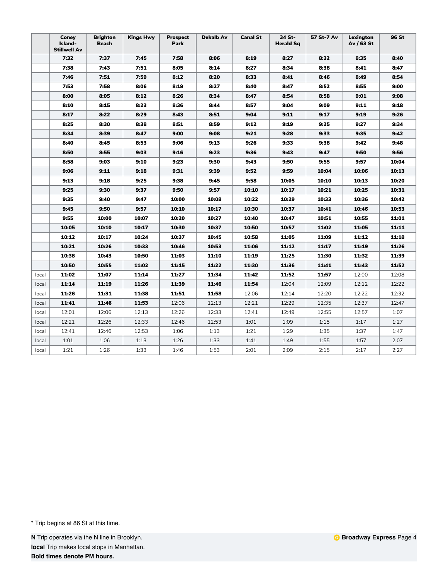|       | Coney<br>Island-<br><b>Stillwell Av</b> | <b>Brighton</b><br><b>Beach</b> | <b>Kings Hwy</b> | <b>Prospect</b><br>Park | <b>Dekalb Av</b> | <b>Canal St</b> | 34 St-<br><b>Herald Sq</b> | 57 St-7 Av | Lexington<br>Av / 63 St | 96 St |
|-------|-----------------------------------------|---------------------------------|------------------|-------------------------|------------------|-----------------|----------------------------|------------|-------------------------|-------|
|       | 7:32                                    | 7:37                            | 7:45             | 7:58                    | 8:06             | 8:19            | 8:27                       | 8:32       | 8:35                    | 8:40  |
|       | 7:38                                    | 7:43                            | 7:51             | 8:05                    | 8:14             | 8:27            | 8:34                       | 8:38       | 8:41                    | 8:47  |
|       | 7:46                                    | 7:51                            | 7:59             | 8:12                    | 8:20             | 8:33            | 8:41                       | 8:46       | 8:49                    | 8:54  |
|       | 7:53                                    | 7:58                            | 8:06             | 8:19                    | 8:27             | 8:40            | 8:47                       | 8:52       | 8:55                    | 9:00  |
|       | 8:00                                    | 8:05                            | 8:12             | 8:26                    | 8:34             | 8:47            | 8:54                       | 8:58       | 9:01                    | 9:08  |
|       | 8:10                                    | 8:15                            | 8:23             | 8:36                    | 8:44             | 8:57            | 9:04                       | 9:09       | 9:11                    | 9:18  |
|       | 8:17                                    | 8:22                            | 8:29             | 8:43                    | 8:51             | 9:04            | 9:11                       | 9:17       | 9:19                    | 9:26  |
|       | 8:25                                    | 8:30                            | 8:38             | 8:51                    | 8:59             | 9:12            | 9:19                       | 9:25       | 9:27                    | 9:34  |
|       | 8:34                                    | 8:39                            | 8:47             | 9:00                    | 9:08             | 9:21            | 9:28                       | 9:33       | 9:35                    | 9:42  |
|       | 8:40                                    | 8:45                            | 8:53             | 9:06                    | 9:13             | 9:26            | 9:33                       | 9:38       | 9:42                    | 9:48  |
|       | 8:50                                    | 8:55                            | 9:03             | 9:16                    | 9:23             | 9:36            | 9:43                       | 9:47       | 9:50                    | 9:56  |
|       | 8:58                                    | 9:03                            | 9:10             | 9:23                    | 9:30             | 9:43            | 9:50                       | 9:55       | 9:57                    | 10:04 |
|       | 9:06                                    | 9:11                            | 9:18             | 9:31                    | 9:39             | 9:52            | 9:59                       | 10:04      | 10:06                   | 10:13 |
|       | 9:13                                    | 9:18                            | 9:25             | 9:38                    | 9:45             | 9:58            | 10:05                      | 10:10      | 10:13                   | 10:20 |
|       | 9:25                                    | 9:30                            | 9:37             | 9:50                    | 9:57             | 10:10           | 10:17                      | 10:21      | 10:25                   | 10:31 |
|       | 9:35                                    | 9:40                            | 9:47             | 10:00                   | 10:08            | 10:22           | 10:29                      | 10:33      | 10:36                   | 10:42 |
|       | 9:45                                    | 9:50                            | 9:57             | 10:10                   | 10:17            | 10:30           | 10:37                      | 10:41      | 10:46                   | 10:53 |
|       | 9:55                                    | 10:00                           | 10:07            | 10:20                   | 10:27            | 10:40           | 10:47                      | 10:51      | 10:55                   | 11:01 |
|       | 10:05                                   | 10:10                           | 10:17            | 10:30                   | 10:37            | 10:50           | 10:57                      | 11:02      | 11:05                   | 11:11 |
|       | 10:12                                   | 10:17                           | 10:24            | 10:37                   | 10:45            | 10:58           | 11:05                      | 11:09      | 11:12                   | 11:18 |
|       | 10:21                                   | 10:26                           | 10:33            | 10:46                   | 10:53            | 11:06           | 11:12                      | 11:17      | 11:19                   | 11:26 |
|       | 10:38                                   | 10:43                           | 10:50            | 11:03                   | 11:10            | 11:19           | 11:25                      | 11:30      | 11:32                   | 11:39 |
|       | 10:50                                   | 10:55                           | 11:02            | 11:15                   | 11:22            | 11:30           | 11:36                      | 11:41      | 11:43                   | 11:52 |
| local | 11:02                                   | 11:07                           | 11:14            | 11:27                   | 11:34            | 11:42           | 11:52                      | 11:57      | 12:00                   | 12:08 |
| local | 11:14                                   | 11:19                           | 11:26            | 11:39                   | 11:46            | 11:54           | 12:04                      | 12:09      | 12:12                   | 12:22 |
| local | 11:26                                   | 11:31                           | 11:38            | 11:51                   | 11:58            | 12:06           | 12:14                      | 12:20      | 12:22                   | 12:32 |
| local | 11:41                                   | 11:46                           | 11:53            | 12:06                   | 12:13            | 12:21           | 12:29                      | 12:35      | 12:37                   | 12:47 |
| local | 12:01                                   | 12:06                           | 12:13            | 12:26                   | 12:33            | 12:41           | 12:49                      | 12:55      | 12:57                   | 1:07  |
| local | 12:21                                   | 12:26                           | 12:33            | 12:46                   | 12:53            | 1:01            | 1:09                       | 1:15       | 1:17                    | 1:27  |
| local | 12:41                                   | 12:46                           | 12:53            | 1:06                    | 1:13             | 1:21            | 1:29                       | 1:35       | 1:37                    | 1:47  |
| local | 1:01                                    | 1:06                            | 1:13             | 1:26                    | 1:33             | 1:41            | 1:49                       | 1:55       | 1:57                    | 2:07  |
| local | 1:21                                    | 1:26                            | 1:33             | 1:46                    | 1:53             | 2:01            | 2:09                       | 2:15       | 2:17                    | 2:27  |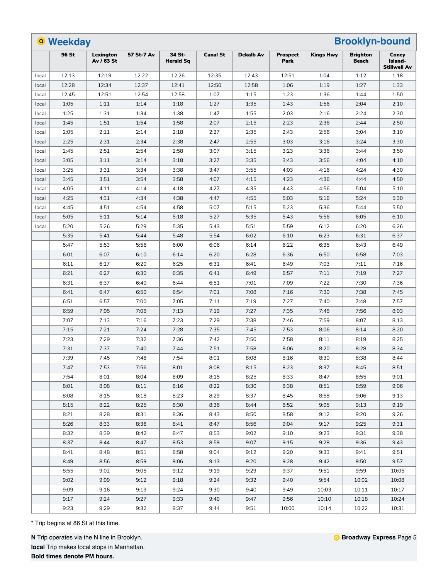|       | <sup>Q</sup> Weekday |                         |            |                            |                 |                  |                         |                  | <b>Brooklyn-bound</b>           |                                         |
|-------|----------------------|-------------------------|------------|----------------------------|-----------------|------------------|-------------------------|------------------|---------------------------------|-----------------------------------------|
|       | 96 St                | Lexington<br>Av / 63 St | 57 St-7 Av | 34 St-<br><b>Herald Sa</b> | <b>Canal St</b> | <b>Dekalb Av</b> | <b>Prospect</b><br>Park | <b>Kings Hwy</b> | <b>Brighton</b><br><b>Beach</b> | Coney<br>Island-<br><b>Stillwell Av</b> |
| local | 12:13                | 12:19                   | 12:22      | 12:26                      | 12:35           | 12:43            | 12:51                   | 1:04             | 1:12                            | 1:18                                    |
| local | 12:28                | 12:34                   | 12:37      | 12:41                      | 12:50           | 12:58            | 1:06                    | 1:19             | 1:27                            | 1:33                                    |
| local | 12:45                | 12:51                   | 12:54      | 12:58                      | 1:07            | 1:15             | 1:23                    | 1:36             | 1:44                            | 1:50                                    |
| local | 1:05                 | 1:11                    | 1:14       | 1:18                       | 1:27            | 1:35             | 1:43                    | 1:56             | 2:04                            | 2:10                                    |
| local | 1:25                 | 1:31                    | 1:34       | 1:38                       | 1:47            | 1:55             | 2:03                    | 2:16             | 2:24                            | 2:30                                    |
| local | 1:45                 | 1:51                    | 1:54       | 1:58                       | 2:07            | 2:15             | 2:23                    | 2:36             | 2:44                            | 2:50                                    |
| local | 2:05                 | 2:11                    | 2:14       | 2:18                       | 2:27            | 2:35             | 2:43                    | 2:56             | 3:04                            | 3:10                                    |
| local | 2:25                 | 2:31                    | 2:34       | 2:38                       | 2:47            | 2:55             | 3:03                    | 3:16             | 3:24                            | 3:30                                    |
| local | 2:45                 | 2:51                    | 2:54       | 2:58                       | 3:07            | 3:15             | 3:23                    | 3:36             | 3:44                            | 3:50                                    |
| local | 3:05                 | 3:11                    | 3:14       | 3:18                       | 3:27            | 3:35             | 3:43                    | 3:56             | 4:04                            | 4:10                                    |
| local | 3:25                 | 3:31                    | 3:34       | 3:38                       | 3:47            | 3:55             | 4:03                    | 4:16             | 4:24                            | 4:30                                    |
| local | 3:45                 | 3:51                    | 3:54       | 3:58                       | 4:07            | 4:15             | 4:23                    | 4:36             | 4:44                            | 4:50                                    |
| local | 4:05                 | 4:11                    | 4:14       | 4:18                       | 4:27            | 4:35             | 4:43                    | 4:56             | 5:04                            | 5:10                                    |
| local | 4:25                 | 4:31                    | 4:34       | 4:38                       | 4:47            | 4:55             | 5:03                    | 5:16             | 5:24                            | 5:30                                    |
| local | 4:45                 | 4:51                    | 4:54       | 4:58                       | 5:07            | 5:15             | 5:23                    | 5:36             | 5:44                            | 5:50                                    |
| local | 5:05                 | 5:11                    | 5:14       | 5:18                       | 5:27            | 5:35             | 5:43                    | 5:56             | 6:05                            | 6:10                                    |
| local | 5:20                 | 5:26                    | 5:29       | 5:35                       | 5:43            | 5:51             | 5:59                    | 6:12             | 6:20                            | 6:26                                    |
|       | 5:35                 | 5:41                    | 5:44       | 5:48                       | 5:54            | 6:02             | 6:10                    | 6:23             | 6:31                            | 6:37                                    |
|       | 5:47                 | 5:53                    | 5:56       | 6:00                       | 6:06            | 6:14             | 6:22                    | 6:35             | 6:43                            | 6:49                                    |
|       | 6:01                 | 6:07                    | 6:10       | 6:14                       | 6:20            | 6:28             | 6:36                    | 6:50             | 6:58                            | 7:03                                    |
|       |                      |                         |            |                            |                 |                  |                         |                  |                                 |                                         |
|       | 6:11                 | 6:17                    | 6:20       | 6:25                       | 6:31            | 6:41             | 6:49                    | 7:03             | 7:11                            | 7:16                                    |
|       | 6:21                 | 6:27                    | 6:30       | 6:35                       | 6:41            | 6:49             | 6:57                    | 7:11             | 7:19                            | 7:27                                    |
|       | 6:31                 | 6:37                    | 6:40       | 6:44                       | 6:51            | 7:01             | 7:09                    | 7:22             | 7:30                            | 7:36                                    |
|       | 6:41                 | 6:47                    | 6:50       | 6:54                       | 7:01            | 7:08             | 7:16                    | 7:30             | 7:38                            | 7:45                                    |
|       | 6:51                 | 6:57                    | 7:00       | 7:05                       | 7:11            | 7:19             | 7:27                    | 7:40             | 7:48                            | 7:57                                    |
|       | 6:59                 | 7:05                    | 7:08       | 7:13                       | 7:19            | 7:27             | 7:35                    | 7:48             | 7:56                            | 8:03                                    |
|       | 7:07                 | 7:13                    | 7:16       | 7:23                       | 7:29            | 7:38             | 7:46                    | 7:59             | 8:07                            | 8:13                                    |
|       | 7:15                 | 7:21                    | 7:24       | 7:28                       | 7:35            | 7:45             | 7:53                    | 8:06             | 8:14                            | 8:20                                    |
|       | 7:23                 | 7:29                    | 7:32       | 7:36                       | 7:42            | 7:50             | 7:58                    | 8:11             | 8:19                            | 8:25                                    |
|       | 7:31                 | 7:37                    | 7:40       | 7:44                       | 7:51            | 7:58             | 8:06                    | 8:20             | 8:28                            | 8:34                                    |
|       | 7:39                 | 7:45                    | 7:48       | 7:54                       | 8:01            | 8:08             | 8:16                    | 8:30             | 8:38                            | 8:44                                    |
|       | 7:47                 | 7:53                    | 7:56       | 8:01                       | 8:08            | 8:15             | 8:23                    | 8:37             | 8:45                            | 8:51                                    |
|       | 7:54                 | 8:01                    | 8:04       | 8:09                       | 8:15            | 8:25             | 8:33                    | 8:47             | 8:55                            | 9:01                                    |
|       | 8:01                 | 8:08                    | 8:11       | 8:16                       | 8:22            | 8:30             | 8:38                    | 8:51             | 8:59                            | 9:06                                    |
|       | 8:08                 | 8:15                    | 8:18       | 8:23                       | 8:29            | 8:37             | 8:45                    | 8:58             | 9:06                            | 9:13                                    |
|       | 8:15                 | 8:22                    | 8:25       | 8:30                       | 8:36            | 8:44             | 8:52                    | 9:05             | 9:13                            | 9:19                                    |
|       | 8:21                 | 8:28                    | 8:31       | 8:36                       | 8:43            | 8:50             | 8:58                    | 9:12             | 9:20                            | 9:26                                    |
|       | 8:26                 | 8:33                    | 8:36       | 8:41                       | 8:47            | 8:56             | 9:04                    | 9:17             | 9:25                            | 9:31                                    |
|       | 8:32                 | 8:39                    | 8:42       | 8:47                       | 8:53            | 9:02             | 9:10                    | 9:23             | 9:31                            | 9:38                                    |
|       | 8:37                 | 8:44                    | 8:47       | 8:53                       | 8:59            | 9:07             | 9:15                    | 9:28             | 9:36                            | 9:43                                    |
|       | 8:41                 | 8:48                    | 8:51       | 8:58                       | 9:04            | 9:12             | 9:20                    | 9:33             | 9:41                            | 9:51                                    |
|       | 8:49                 | 8:56                    | 8:59       | 9:06                       | 9:13            | 9:20             | 9:28                    | 9:42             | 9:50                            | 9:57                                    |
|       | 8:55                 | 9:02                    | 9:05       | 9:12                       | 9:19            | 9:29             | 9:37                    | 9:51             | 9:59                            | 10:05                                   |
|       | 9:02                 | 9:09                    | 9:12       | 9:18                       | 9:24            | 9:32             | 9:40                    | 9:54             | 10:02                           | 10:08                                   |
|       | 9:09                 | 9:16                    | 9:19       | 9:24                       | 9:30            | 9:40             | 9:49                    | 10:03            | 10:11                           | 10:17                                   |
|       | 9:17                 | 9:24                    | 9:27       | 9:33                       | 9:40            | 9:47             | 9:56                    | 10:10            | 10:18                           | 10:24                                   |
|       | 9:23                 | 9:29                    | 9:32       | 9:37                       | 9:44            | 9:51             | 10:00                   | 10:14            | 10:22                           | 10:31                                   |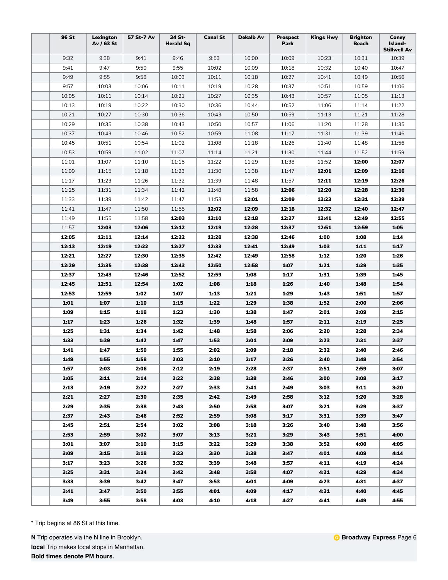| 96 St | Lexington<br>Av / 63 St | 57 St-7 Av | 34 St-<br><b>Herald Sq</b> | <b>Canal St</b> | <b>Dekalb Av</b> | <b>Prospect</b><br>Park | <b>Kings Hwy</b> | <b>Brighton</b><br><b>Beach</b> | Coney<br>Island-<br><b>Stillwell Av</b> |
|-------|-------------------------|------------|----------------------------|-----------------|------------------|-------------------------|------------------|---------------------------------|-----------------------------------------|
| 9:32  | 9:38                    | 9:41       | 9:46                       | 9:53            | 10:00            | 10:09                   | 10:23            | 10:31                           | 10:39                                   |
| 9:41  | 9:47                    | 9:50       | 9:55                       | 10:02           | 10:09            | 10:18                   | 10:32            | 10:40                           | 10:47                                   |
| 9:49  | 9:55                    | 9:58       | 10:03                      | 10:11           | 10:18            | 10:27                   | 10:41            | 10:49                           | 10:56                                   |
| 9:57  | 10:03                   | 10:06      | 10:11                      | 10:19           | 10:28            | 10:37                   | 10:51            | 10:59                           | 11:06                                   |
| 10:05 | 10:11                   | 10:14      | 10:21                      | 10:27           | 10:35            | 10:43                   | 10:57            | 11:05                           | 11:13                                   |
| 10:13 | 10:19                   | 10:22      | 10:30                      | 10:36           | 10:44            | 10:52                   | 11:06            | 11:14                           | 11:22                                   |
| 10:21 | 10:27                   | 10:30      | 10:36                      | 10:43           | 10:50            | 10:59                   | 11:13            | 11:21                           | 11:28                                   |
| 10:29 | 10:35                   | 10:38      | 10:43                      | 10:50           | 10:57            | 11:06                   | 11:20            | 11:28                           | 11:35                                   |
| 10:37 | 10:43                   | 10:46      | 10:52                      | 10:59           | 11:08            | 11:17                   | 11:31            | 11:39                           | 11:46                                   |
| 10:45 | 10:51                   | 10:54      | 11:02                      | 11:08           | 11:18            | 11:26                   | 11:40            | 11:48                           | 11:56                                   |
| 10:53 | 10:59                   | 11:02      | 11:07                      | 11:14           | 11:21            | 11:30                   | 11:44            | 11:52                           | 11:59                                   |
| 11:01 | 11:07                   | 11:10      | 11:15                      | 11:22           | 11:29            | 11:38                   | 11:52            | 12:00                           | 12:07                                   |
| 11:09 | 11:15                   | 11:18      | 11:23                      | 11:30           | 11:38            | 11:47                   | 12:01            | 12:09                           | 12:16                                   |
| 11:17 | 11:23                   | 11:26      | 11:32                      | 11:39           | 11:48            | 11:57                   | 12:11            | 12:19                           | 12:26                                   |
| 11:25 | 11:31                   | 11:34      | 11:42                      | 11:48           | 11:58            | 12:06                   | 12:20            | 12:28                           | 12:36                                   |
| 11:33 | 11:39                   | 11:42      | 11:47                      | 11:53           | 12:01            | 12:09                   | 12:23            | 12:31                           | 12:39                                   |
| 11:41 | 11:47                   | 11:50      | 11:55                      | 12:02           | 12:09            | 12:18                   | 12:32            | 12:40                           | 12:47                                   |
| 11:49 | 11:55                   | 11:58      | 12:03                      | 12:10           | 12:18            | 12:27                   | 12:41            | 12:49                           | 12:55                                   |
| 11:57 | 12:03                   | 12:06      | 12:12                      | 12:19           | 12:28            | 12:37                   | 12:51            | 12:59                           | 1:05                                    |
| 12:05 | 12:11                   | 12:14      | 12:22                      | 12:28           | 12:38            | 12:46                   | 1:00             | 1:08                            | 1:14                                    |
| 12:13 | 12:19                   | 12:22      | 12:27                      | 12:33           | 12:41            | 12:49                   | 1:03             | 1:11                            | 1:17                                    |
| 12:21 | 12:27                   | 12:30      | 12:35                      | 12:42           | 12:49            | 12:58                   | 1:12             | 1:20                            | 1:26                                    |
| 12:29 | 12:35                   | 12:38      | 12:43                      | 12:50           | 12:58            | 1:07                    | 1:21             | 1:29                            | 1:35                                    |
| 12:37 | 12:43                   | 12:46      | 12:52                      | 12:59           | 1:08             | 1:17                    | 1:31             | 1:39                            | 1:45                                    |
| 12:45 | 12:51                   | 12:54      | 1:02                       | 1:08            | 1:18             | 1:26                    | 1:40             | 1:48                            | 1:54                                    |
| 12:53 | 12:59                   | 1:02       | 1:07                       | 1:13            | 1:21             | 1:29                    | 1:43             | 1:51                            | 1:57                                    |
| 1:01  | 1:07                    | 1:10       | 1:15                       | 1:22            | 1:29             | 1:38                    | 1:52             | 2:00                            | 2:06                                    |
| 1:09  | 1:15                    | 1:18       | 1:23                       | 1:30            | 1:38             | 1:47                    | 2:01             | 2:09                            | 2:15                                    |
| 1:17  | 1:23                    | 1:26       | 1:32                       | 1:39            | 1:48             | 1:57                    | 2:11             | 2:19                            | 2:25                                    |
| 1:25  | 1:31                    | 1:34       | 1:42                       | 1:48            | 1:58             | 2:06                    | 2:20             | 2:28                            | 2:34                                    |
| 1:33  | 1:39                    | 1:42       | 1:47                       | 1:53            | 2:01             | 2:09                    | 2:23             | 2:31                            | 2:37                                    |
| 1:41  | 1:47                    | 1:50       | 1:55                       | 2:02            | 2:09             | 2:18                    | 2:32             | 2:40                            | 2:46                                    |
| 1:49  | 1:55                    | 1:58       | 2:03                       | 2:10            | 2:17             | 2:26                    | 2:40             | 2:48                            | 2:54                                    |
| 1:57  | 2:03                    | 2:06       | 2:12                       | 2:19            | 2:28             | 2:37                    | 2:51             | 2:59                            | 3:07                                    |
| 2:05  | 2:11                    | 2:14       | 2:22                       | 2:28            | 2:38             | 2:46                    | 3:00             | 3:08                            | 3:17                                    |
| 2:13  | 2:19                    | 2:22       | 2:27                       | 2:33            | 2:41             | 2:49                    | 3:03             | 3:11                            | 3:20                                    |
| 2:21  | 2:27                    | 2:30       | 2:35                       | 2:42            | 2:49             | 2:58                    | 3:12             | 3:20                            | 3:28                                    |
| 2:29  | 2:35                    | 2:38       | 2:43                       | 2:50            | 2:58             | 3:07                    | 3:21             | 3:29                            | 3:37                                    |
| 2:37  | 2:43                    | 2:46       | 2:52                       | 2:59            | 3:08             | 3:17                    | 3:31             | 3:39                            | 3:47                                    |
| 2:45  | 2:51                    | 2:54       | 3:02                       | 3:08            | 3:18             | 3:26                    | 3:40             | 3:48                            | 3:56                                    |
| 2:53  | 2:59                    | 3:02       | 3:07                       | 3:13            | 3:21             | 3:29                    | 3:43             | 3:51                            | 4:00                                    |
| 3:01  | 3:07                    | 3:10       | 3:15                       | 3:22            | 3:29             | 3:38                    | 3:52             | 4:00                            | 4:05                                    |
| 3:09  | 3:15                    | 3:18       | 3:23                       | 3:30            | 3:38             | 3:47                    | 4:01             | 4:09                            | 4:14                                    |
| 3:17  | 3:23                    | 3:26       | 3:32                       | 3:39            | 3:48             | 3:57                    | 4:11             | 4:19                            | 4:24                                    |
| 3:25  | 3:31                    | 3:34       | 3:42                       | 3:48            | 3:58             | 4:07                    | 4:21             | 4:29                            | 4:34                                    |
| 3:33  | 3:39                    | 3:42       | 3:47                       | 3:53            | 4:01             | 4:09                    | 4:23             | 4:31                            | 4:37                                    |
| 3:41  | 3:47                    | 3:50       | 3:55                       | 4:01            | 4:09             | 4:17                    | 4:31             | 4:40                            | 4:45                                    |
| 3:49  | 3:55                    | 3:58       | 4:03                       | 4:10            | 4:18             | 4:27                    | 4:41             | 4:49                            | 4:55                                    |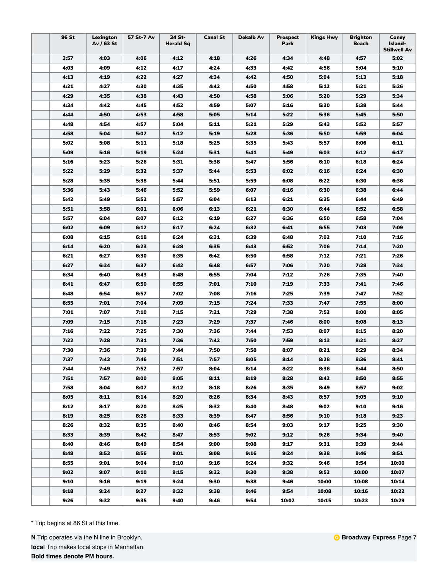| 96 St | Lexington<br>Av / 63 St | 57 St-7 Av | 34 St-<br><b>Herald Sq</b> | <b>Canal St</b> | Dekalb Av | <b>Prospect</b><br>Park | <b>Kings Hwy</b> | <b>Brighton</b><br>Beach | Coney<br>Island-<br><b>Stillwell Av</b> |
|-------|-------------------------|------------|----------------------------|-----------------|-----------|-------------------------|------------------|--------------------------|-----------------------------------------|
| 3:57  | 4:03                    | 4:06       | 4:12                       | 4:18            | 4:26      | 4:34                    | 4:48             | 4:57                     | 5:02                                    |
| 4:03  | 4:09                    | 4:12       | 4:17                       | 4:24            | 4:33      | 4:42                    | 4:56             | 5:04                     | 5:10                                    |
| 4:13  | 4:19                    | 4:22       | 4:27                       | 4:34            | 4:42      | 4:50                    | 5:04             | 5:13                     | 5:18                                    |
| 4:21  | 4:27                    | 4:30       | 4:35                       | 4:42            | 4:50      | 4:58                    | 5:12             | 5:21                     | 5:26                                    |
| 4:29  | 4:35                    | 4:38       | 4:43                       | 4:50            | 4:58      | 5:06                    | 5:20             | 5:29                     | 5:34                                    |
| 4:34  | 4:42                    | 4:45       | 4:52                       | 4:59            | 5:07      | 5:16                    | 5:30             | 5:38                     | 5:44                                    |
| 4:44  | 4:50                    | 4:53       | 4:58                       | 5:05            | 5:14      | 5:22                    | 5:36             | 5:45                     | 5:50                                    |
| 4:48  | 4:54                    | 4:57       | 5:04                       | 5:11            | 5:21      | 5:29                    | 5:43             | 5:52                     | 5:57                                    |
| 4:58  | 5:04                    | 5:07       | 5:12                       | 5:19            | 5:28      | 5:36                    | 5:50             | 5:59                     | 6:04                                    |
| 5:02  | 5:08                    | 5:11       | 5:18                       | 5:25            | 5:35      | 5:43                    | 5:57             | 6:06                     | 6:11                                    |
| 5:09  | 5:16                    | 5:19       | 5:24                       | 5:31            | 5:41      | 5:49                    | 6:03             | 6:12                     | 6:17                                    |
| 5:16  | 5:23                    | 5:26       | 5:31                       | 5:38            | 5:47      | 5:56                    | 6:10             | 6:18                     | 6:24                                    |
| 5:22  | 5:29                    | 5:32       | 5:37                       | 5:44            | 5:53      | 6:02                    | 6:16             | 6:24                     | 6:30                                    |
| 5:28  | 5:35                    | 5:38       | 5:44                       | 5:51            | 5:59      | 6:08                    | 6:22             | 6:30                     | 6:36                                    |
| 5:36  | 5:43                    | 5:46       | 5:52                       | 5:59            | 6:07      | 6:16                    | 6:30             | 6:38                     | 6:44                                    |
| 5:42  | 5:49                    | 5:52       | 5:57                       | 6:04            | 6:13      | 6:21                    | 6:35             | 6:44                     | 6:49                                    |
| 5:51  | 5:58                    | 6:01       | 6:06                       | 6:13            | 6:21      | 6:30                    | 6:44             | 6:52                     | 6:58                                    |
| 5:57  | 6:04                    | 6:07       | 6:12                       | 6:19            | 6:27      | 6:36                    | 6:50             | 6:58                     | 7:04                                    |
| 6:02  | 6:09                    | 6:12       | 6:17                       | 6:24            | 6:32      | 6:41                    | 6:55             | 7:03                     | 7:09                                    |
| 6:08  | 6:15                    | 6:18       | 6:24                       | 6:31            | 6:39      | 6:48                    | 7:02             | 7:10                     | 7:16                                    |
| 6:14  | 6:20                    | 6:23       | 6:28                       | 6:35            | 6:43      | 6:52                    | 7:06             | 7:14                     | 7:20                                    |
| 6:21  | 6:27                    | 6:30       | 6:35                       | 6:42            | 6:50      | 6:58                    | 7:12             | 7:21                     | 7:26                                    |
| 6:27  | 6:34                    | 6:37       | 6:42                       | 6:48            | 6:57      | 7:06                    | 7:20             | 7:28                     | 7:34                                    |
| 6:34  | 6:40                    | 6:43       | 6:48                       | 6:55            | 7:04      | 7:12                    | 7:26             | 7:35                     | 7:40                                    |
| 6:41  | 6:47                    | 6:50       | 6:55                       | 7:01            | 7:10      | 7:19                    | 7:33             | 7:41                     | 7:46                                    |
| 6:48  | 6:54                    | 6:57       | 7:02                       | 7:08            | 7:16      | 7:25                    | 7:39             | 7:47                     | 7:52                                    |
| 6:55  | 7:01                    | 7:04       | 7:09                       | 7:15            | 7:24      | 7:33                    | 7:47             | 7:55                     | 8:00                                    |
| 7:01  | 7:07                    | 7:10       | 7:15                       | 7:21            | 7:29      | 7:38                    | 7:52             | 8:00                     | 8:05                                    |
| 7:09  | 7:15                    | 7:18       | 7:23                       | 7:29            | 7:37      | 7:46                    | 8:00             | 8:08                     | 8:13                                    |
| 7:16  | 7:22                    | 7:25       | 7:30                       | 7:36            | 7:44      | 7:53                    | 8:07             | 8:15                     | 8:20                                    |
| 7:22  | 7:28                    | 7:31       | 7:36                       | 7:42            | 7:50      | 7:59                    | 8:13             | 8:21                     | 8:27                                    |
| 7:30  | 7:36                    | 7:39       | 7:44                       | 7:50            | 7:58      | 8:07                    | 8:21             | 8:29                     | 8:34                                    |
| 7:37  | 7:43                    | 7:46       | 7:51                       | 7:57            | 8:05      | 8:14                    | 8:28             | 8:36                     | 8:41                                    |
| 7:44  | 7:49                    | 7:52       | 7:57                       | 8:04            | 8:14      | 8:22                    | 8:36             | 8:44                     | 8:50                                    |
| 7:51  | 7:57                    | 8:00       | 8:05                       | 8:11            | 8:19      | 8:28                    | 8:42             | 8:50                     | 8:55                                    |
| 7:58  | 8:04                    | 8:07       | 8:12                       | 8:18            | 8:26      | 8:35                    | 8:49             | 8:57                     | 9:02                                    |
| 8:05  | 8:11                    | 8:14       | 8:20                       | 8:26            | 8:34      | 8:43                    | 8:57             | 9:05                     | 9:10                                    |
| 8:12  | 8:17                    | 8:20       | 8:25                       | 8:32            | 8:40      | 8:48                    | 9:02             | 9:10                     | 9:16                                    |
| 8:19  | 8:25                    | 8:28       | 8:33                       | 8:39            | 8:47      | 8:56                    | 9:10             | 9:18                     | 9:23                                    |
| 8:26  | 8:32                    | 8:35       | 8:40                       | 8:46            | 8:54      | 9:03                    | 9:17             | 9:25                     | 9:30                                    |
| 8:33  | 8:39                    | 8:42       | 8:47                       | 8:53            | 9:02      | 9:12                    | 9:26             | 9:34                     | 9:40                                    |
| 8:40  | 8:46                    | 8:49       | 8:54                       | 9:00            | 9:08      | 9:17                    | 9:31             | 9:39                     | 9:44                                    |
| 8:48  | 8:53                    | 8:56       | 9:01                       | 9:08            | 9:16      | 9:24                    | 9:38             | 9:46                     | 9:51                                    |
| 8:55  | 9:01                    | 9:04       | 9:10                       | 9:16            | 9:24      | 9:32                    | 9:46             | 9:54                     | 10:00                                   |
| 9:02  | 9:07                    | 9:10       | 9:15                       | 9:22            | 9:30      | 9:38                    | 9:52             | 10:00                    | 10:07                                   |
| 9:10  | 9:16                    | 9:19       | 9:24                       | 9:30            | 9:38      | 9:46                    | 10:00            | 10:08                    | 10:14                                   |
| 9:18  | 9:24                    | 9:27       | 9:32                       | 9:38            | 9:46      | 9:54                    | 10:08            | 10:16                    | 10:22                                   |
| 9:26  | 9:32                    | 9:35       | 9:40                       | 9:46            | 9:54      | 10:02                   | 10:15            | 10:23                    | 10:29                                   |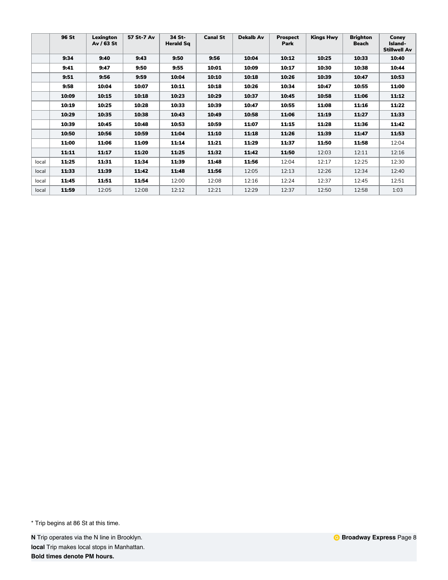|       | 96 St | Lexington<br>Av / 63 St | 57 St-7 Av | 34 St-<br><b>Herald Sq</b> | <b>Canal St</b> | <b>Dekalb Av</b> | <b>Prospect</b><br>Park | <b>Kings Hwy</b> | <b>Brighton</b><br>Beach | Coney<br>Island-<br><b>Stillwell Av</b> |
|-------|-------|-------------------------|------------|----------------------------|-----------------|------------------|-------------------------|------------------|--------------------------|-----------------------------------------|
|       | 9:34  | 9:40                    | 9:43       | 9:50                       | 9:56            | 10:04            | 10:12                   | 10:25            | 10:33                    | 10:40                                   |
|       | 9:41  | 9:47                    | 9:50       | 9:55                       | 10:01           | 10:09            | 10:17                   | 10:30            | 10:38                    | 10:44                                   |
|       | 9:51  | 9:56                    | 9:59       | 10:04                      | 10:10           | 10:18            | 10:26                   | 10:39            | 10:47                    | 10:53                                   |
|       | 9:58  | 10:04                   | 10:07      | 10:11                      | 10:18           | 10:26            | 10:34                   | 10:47            | 10:55                    | 11:00                                   |
|       | 10:09 | 10:15                   | 10:18      | 10:23                      | 10:29           | 10:37            | 10:45                   | 10:58            | 11:06                    | 11:12                                   |
|       | 10:19 | 10:25                   | 10:28      | 10:33                      | 10:39           | 10:47            | 10:55                   | 11:08            | 11:16                    | 11:22                                   |
|       | 10:29 | 10:35                   | 10:38      | 10:43                      | 10:49           | 10:58            | 11:06                   | 11:19            | 11:27                    | 11:33                                   |
|       | 10:39 | 10:45                   | 10:48      | 10:53                      | 10:59           | 11:07            | 11:15                   | 11:28            | 11:36                    | 11:42                                   |
|       | 10:50 | 10:56                   | 10:59      | 11:04                      | 11:10           | 11:18            | 11:26                   | 11:39            | 11:47                    | 11:53                                   |
|       | 11:00 | 11:06                   | 11:09      | 11:14                      | 11:21           | 11:29            | 11:37                   | 11:50            | 11:58                    | 12:04                                   |
|       | 11:11 | 11:17                   | 11:20      | 11:25                      | 11:32           | 11:42            | 11:50                   | 12:03            | 12:11                    | 12:16                                   |
| local | 11:25 | 11:31                   | 11:34      | 11:39                      | 11:48           | 11:56            | 12:04                   | 12:17            | 12:25                    | 12:30                                   |
| local | 11:33 | 11:39                   | 11:42      | 11:48                      | 11:56           | 12:05            | 12:13                   | 12:26            | 12:34                    | 12:40                                   |
| local | 11:45 | 11:51                   | 11:54      | 12:00                      | 12:08           | 12:16            | 12:24                   | 12:37            | 12:45                    | 12:51                                   |
| local | 11:59 | 12:05                   | 12:08      | 12:12                      | 12:21           | 12:29            | 12:37                   | 12:50            | 12:58                    | 1:03                                    |

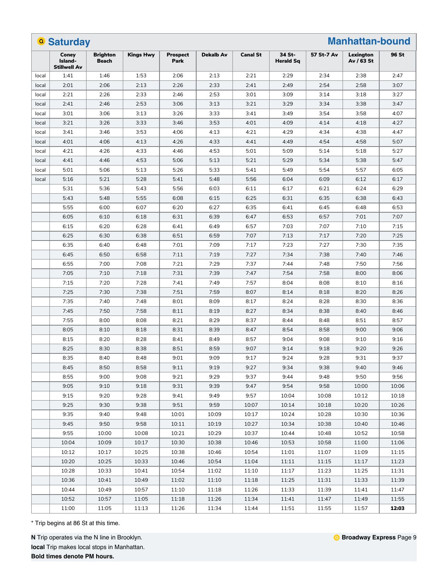|       | <sup>Q</sup> Saturday                   |                                 |                  |                         |                  |                 |                            |            | <b>Manhattan-bound</b>  |       |
|-------|-----------------------------------------|---------------------------------|------------------|-------------------------|------------------|-----------------|----------------------------|------------|-------------------------|-------|
|       | Coney<br>Island-<br><b>Stillwell Av</b> | <b>Brighton</b><br><b>Beach</b> | <b>Kings Hwy</b> | <b>Prospect</b><br>Park | <b>Dekalb Av</b> | <b>Canal St</b> | 34 St-<br><b>Herald Sq</b> | 57 St-7 Av | Lexington<br>Av / 63 St | 96 St |
| local | 1:41                                    | 1:46                            | 1:53             | 2:06                    | 2:13             | 2:21            | 2:29                       | 2:34       | 2:38                    | 2:47  |
| local | 2:01                                    | 2:06                            | 2:13             | 2:26                    | 2:33             | 2:41            | 2:49                       | 2:54       | 2:58                    | 3:07  |
| local | 2:21                                    | 2:26                            | 2:33             | 2:46                    | 2:53             | 3:01            | 3:09                       | 3:14       | 3:18                    | 3:27  |
| local | 2:41                                    | 2:46                            | 2:53             | 3:06                    | 3:13             | 3:21            | 3:29                       | 3:34       | 3:38                    | 3:47  |
| local | 3:01                                    | 3:06                            | 3:13             | 3:26                    | 3:33             | 3:41            | 3:49                       | 3:54       | 3:58                    | 4:07  |
| local | 3:21                                    | 3:26                            | 3:33             | 3:46                    | 3:53             | 4:01            | 4:09                       | 4:14       | 4:18                    | 4:27  |
| local | 3:41                                    | 3:46                            | 3:53             | 4:06                    | 4:13             | 4:21            | 4:29                       | 4:34       | 4:38                    | 4:47  |
| local | 4:01                                    | 4:06                            | 4:13             | 4:26                    | 4:33             | 4:41            | 4:49                       | 4:54       | 4:58                    | 5:07  |
| local | 4:21                                    | 4:26                            | 4:33             | 4:46                    | 4:53             | 5:01            | 5:09                       | 5:14       | 5:18                    | 5:27  |
| local | 4:41                                    | 4:46                            | 4:53             | 5:06                    | 5:13             | 5:21            | 5:29                       | 5:34       | 5:38                    | 5:47  |
| local | 5:01                                    | 5:06                            | 5:13             | 5:26                    | 5:33             | 5:41            | 5:49                       | 5:54       | 5:57                    | 6:05  |
| local | 5:16                                    | 5:21                            | 5:28             | 5:41                    | 5:48             | 5:56            | 6:04                       | 6:09       | 6:12                    | 6:17  |
|       | 5:31                                    | 5:36                            | 5:43             | 5:56                    | 6:03             | 6:11            | 6:17                       | 6:21       | 6:24                    | 6:29  |
|       | 5:43                                    | 5:48                            | 5:55             | 6:08                    | 6:15             | 6:25            | 6:31                       | 6:35       | 6:38                    | 6:43  |
|       | 5:55                                    | 6:00                            | 6:07             | 6:20                    | 6:27             | 6:35            | 6:41                       | 6:45       | 6:48                    | 6:53  |
|       | 6:05                                    | 6:10                            | 6:18             | 6:31                    | 6:39             | 6:47            | 6:53                       | 6:57       | 7:01                    | 7:07  |
|       | 6:15                                    | 6:20                            | 6:28             | 6:41                    | 6:49             | 6:57            | 7:03                       | 7:07       | 7:10                    | 7:15  |
|       | 6:25                                    | 6:30                            | 6:38             | 6:51                    | 6:59             | 7:07            | 7:13                       | 7:17       | 7:20                    | 7:25  |
|       | 6:35                                    | 6:40                            | 6:48             | 7:01                    | 7:09             | 7:17            | 7:23                       | 7:27       | 7:30                    | 7:35  |
|       | 6:45                                    | 6:50                            | 6:58             | 7:11                    | 7:19             | 7:27            | 7:34                       | 7:38       | 7:40                    | 7:46  |
|       | 6:55                                    | 7:00                            | 7:08             | 7:21                    | 7:29             | 7:37            | 7:44                       | 7:48       | 7:50                    | 7:56  |
|       | 7:05                                    | 7:10                            | 7:18             | 7:31                    | 7:39             | 7:47            | 7:54                       | 7:58       | 8:00                    | 8:06  |
|       | 7:15                                    | 7:20                            | 7:28             | 7:41                    | 7:49             | 7:57            | 8:04                       | 8:08       | 8:10                    | 8:16  |
|       | 7:25                                    | 7:30                            | 7:38             | 7:51                    | 7:59             | 8:07            | 8:14                       | 8:18       | 8:20                    | 8:26  |
|       | 7:35                                    | 7:40                            | 7:48             | 8:01                    | 8:09             | 8:17            | 8:24                       | 8:28       | 8:30                    | 8:36  |
|       | 7:45                                    | 7:50                            | 7:58             | 8:11                    | 8:19             | 8:27            | 8:34                       | 8:38       | 8:40                    | 8:46  |
|       | 7:55                                    | 8:00                            | 8:08             | 8:21                    | 8:29             | 8:37            | 8:44                       | 8:48       | 8:51                    | 8:57  |
|       | 8:05                                    | 8:10                            | 8:18             | 8:31                    | 8:39             | 8:47            | 8:54                       | 8:58       | 9:00                    | 9:06  |
|       | 8:15                                    | 8:20                            | 8:28             | 8:41                    | 8:49             | 8:57            | 9:04                       | 9:08       | 9:10                    | 9:16  |
|       | 8:25                                    | 8:30                            | 8:38             | 8:51                    | 8:59             | 9:07            | 9:14                       | 9:18       | 9:20                    | 9:26  |
|       | 8:35                                    | 8:40                            | 8:48             | 9:01                    | 9:09             | 9:17            | 9:24                       | 9:28       | 9:31                    | 9:37  |
|       | 8:45                                    | 8:50                            | 8:58             | 9:11                    | 9:19             | 9:27            | 9:34                       | 9:38       | 9:40                    | 9:46  |
|       | 8:55                                    | 9:00                            | 9:08             | 9:21                    | 9:29             | 9:37            | 9:44                       | 9:48       | 9:50                    | 9:56  |
|       | 9:05                                    | 9:10                            | 9:18             | 9:31                    | 9:39             | 9:47            | 9:54                       | 9:58       | 10:00                   | 10:06 |
|       | 9:15                                    | 9:20                            | 9:28             | 9:41                    | 9:49             | 9:57            | 10:04                      | 10:08      | 10:12                   | 10:18 |
|       | 9:25                                    | 9:30                            | 9:38             | 9:51                    | 9:59             | 10:07           | 10:14                      | 10:18      | 10:20                   | 10:26 |
|       | 9:35                                    | 9:40                            | 9:48             | 10:01                   | 10:09            | 10:17           | 10:24                      | 10:28      | 10:30                   | 10:36 |
|       | 9:45                                    | 9:50                            | 9:58             | 10:11                   | 10:19            | 10:27           | 10:34                      | 10:38      | 10:40                   | 10:46 |
|       | 9:55                                    | 10:00                           | 10:08            | 10:21                   | 10:29            | 10:37           | 10:44                      | 10:48      | 10:52                   | 10:58 |
|       | 10:04                                   | 10:09                           | 10:17            | 10:30                   | 10:38            | 10:46           | 10:53                      | 10:58      | 11:00                   | 11:06 |
|       | 10:12                                   | 10:17                           | 10:25            | 10:38                   | 10:46            | 10:54           | 11:01                      | 11:07      | 11:09                   | 11:15 |
|       | 10:20                                   | 10:25                           | 10:33            | 10:46                   | 10:54            | 11:04           | 11:11                      | 11:15      | 11:17                   | 11:23 |
|       | 10:28                                   | 10:33                           | 10:41            | 10:54                   | 11:02            | 11:10           | 11:17                      | 11:23      | 11:25                   | 11:31 |
|       | 10:36                                   | 10:41                           | 10:49            | 11:02                   | 11:10            | 11:18           | 11:25                      | 11:31      | 11:33                   | 11:39 |
|       | 10:44                                   | 10:49                           | 10:57            | 11:10                   | 11:18            | 11:26           | 11:33                      | 11:39      | 11:41                   | 11:47 |
|       | 10:52                                   | 10:57                           | 11:05            | 11:18                   | 11:26            | 11:34           | 11:41                      | 11:47      | 11:49                   | 11:55 |
|       | 11:00                                   | 11:05                           | 11:13            | 11:26                   | 11:34            | 11:44           | 11:51                      | 11:55      | 11:57                   | 12:03 |
|       |                                         |                                 |                  |                         |                  |                 |                            |            |                         |       |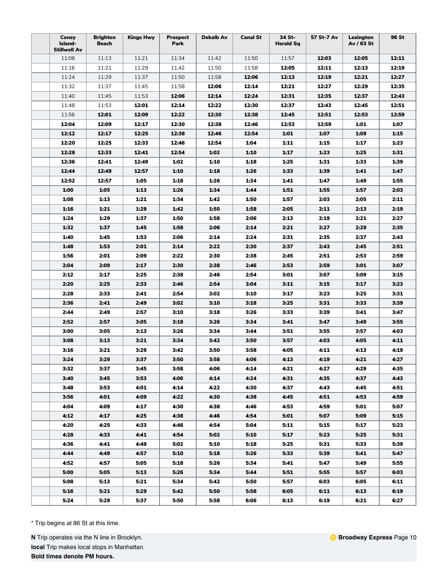| Coney<br>Island-<br><b>Stillwell Av</b> | <b>Brighton</b><br><b>Beach</b> | <b>Kings Hwy</b> | <b>Prospect</b><br>Park | <b>Dekalb Av</b> | <b>Canal St</b> | 34 St-<br><b>Herald Sq</b> | 57 St-7 Av | Lexington<br>Av / 63 St | 96 St |
|-----------------------------------------|---------------------------------|------------------|-------------------------|------------------|-----------------|----------------------------|------------|-------------------------|-------|
| 11:08                                   | 11:13                           | 11:21            | 11:34                   | 11:42            | 11:50           | 11:57                      | 12:03      | 12:05                   | 12:11 |
| 11:16                                   | 11:21                           | 11:29            | 11:42                   | 11:50            | 11:58           | 12:05                      | 12:11      | 12:13                   | 12:19 |
| 11:24                                   | 11:29                           | 11:37            | 11:50                   | 11:58            | 12:06           | 12:13                      | 12:19      | 12:21                   | 12:27 |
| 11:32                                   | 11:37                           | 11:45            | 11:58                   | 12:06            | 12:14           | 12:21                      | 12:27      | 12:29                   | 12:35 |
| 11:40                                   | 11:45                           | 11:53            | 12:06                   | 12:14            | 12:24           | 12:31                      | 12:35      | 12:37                   | 12:43 |
| 11:48                                   | 11:53                           | 12:01            | 12:14                   | 12:22            | 12:30           | 12:37                      | 12:43      | 12:45                   | 12:51 |
| 11:56                                   | 12:01                           | 12:09            | 12:22                   | 12:30            | 12:38           | 12:45                      | 12:51      | 12:53                   | 12:59 |
| 12:04                                   | 12:09                           | 12:17            | 12:30                   | 12:38            | 12:46           | 12:53                      | 12:59      | 1:01                    | 1:07  |
| 12:12                                   | 12:17                           | 12:25            | 12:38                   | 12:46            | 12:54           | 1:01                       | 1:07       | 1:09                    | 1:15  |
| 12:20                                   | 12:25                           | 12:33            | 12:46                   | 12:54            | 1:04            | 1:11                       | 1:15       | 1:17                    | 1:23  |
| 12:28                                   | 12:33                           | 12:41            | 12:54                   | 1:02             | 1:10            | 1:17                       | 1:23       | 1:25                    | 1:31  |
| 12:36                                   | 12:41                           | 12:49            | 1:02                    | 1:10             | 1:18            | 1:25                       | 1:31       | 1:33                    | 1:39  |
| 12:44                                   | 12:49                           | 12:57            | 1:10                    | 1:18             | 1:26            | 1:33                       | 1:39       | 1:41                    | 1:47  |
| 12:52                                   | 12:57                           | 1:05             | 1:18                    | 1:26             | 1:34            | 1:41                       | 1:47       | 1:49                    | 1:55  |
| 1:00                                    | 1:05                            | 1:13             | 1:26                    | 1:34             | 1:44            | 1:51                       | 1:55       | 1:57                    | 2:03  |
| 1:08                                    | 1:13                            | 1:21             | 1:34                    | 1:42             | 1:50            | 1:57                       | 2:03       | 2:05                    | 2:11  |
| 1:16                                    | 1:21                            | 1:29             | 1:42                    | 1:50             | 1:58            | 2:05                       | 2:11       | 2:13                    | 2:19  |
| 1:24                                    | 1:29                            | 1:37             | 1:50                    | 1:58             | 2:06            | 2:13                       | 2:19       | 2:21                    | 2:27  |
| 1:32                                    | 1:37                            | 1:45             | 1:58                    | 2:06             | 2:14            | 2:21                       | 2:27       | 2:29                    | 2:35  |
| 1:40                                    | 1:45                            | 1:53             | 2:06                    | 2:14             | 2:24            | 2:31                       | 2:35       | 2:37                    | 2:43  |
| 1:48                                    | 1:53                            | 2:01             | 2:14                    | 2:22             | 2:30            | 2:37                       | 2:43       | 2:45                    | 2:51  |
| 1:56                                    | 2:01                            | 2:09             | 2:22                    | 2:30             | 2:38            | 2:45                       | 2:51       | 2:53                    | 2:59  |
| 2:04                                    | 2:09                            | 2:17             | 2:30                    | 2:38             | 2:46            | 2:53                       | 2:59       | 3:01                    | 3:07  |
| 2:12                                    | 2:17                            | 2:25             | 2:38                    | 2:46             | 2:54            | 3:01                       | 3:07       | 3:09                    | 3:15  |
| 2:20                                    | 2:25                            | 2:33             | 2:46                    | 2:54             | 3:04            | 3:11                       | 3:15       | 3:17                    | 3:23  |
| 2:28                                    | 2:33                            | 2:41             | 2:54                    | 3:02             | 3:10            | 3:17                       | 3:23       | 3:25                    | 3:31  |
| 2:36                                    | 2:41                            | 2:49             | 3:02                    | 3:10             | 3:18            | 3:25                       | 3:31       | 3:33                    | 3:39  |
| 2:44                                    | 2:49                            | 2:57             | 3:10                    | 3:18             | 3:26            | 3:33                       | 3:39       | 3:41                    | 3:47  |
| 2:52                                    | 2:57                            | 3:05             | 3:18                    | 3:26             | 3:34            | 3:41                       | 3:47       | 3:49                    | 3:55  |
| 3:00                                    | 3:05                            | 3:13             | 3:26                    | 3:34             | 3:44            | 3:51                       | 3:55       | 3:57                    | 4:03  |
| 3:08                                    | 3:13                            | 3:21             | 3:34                    | 3:42             | 3:50            | 3:57                       | 4:03       | 4:05                    | 4:11  |
| 3:16                                    | 3:21                            | 3:29             | 3:42                    | 3:50             | 3:58            | 4:05                       | 4:11       | 4:13                    | 4:19  |
| 3:24                                    | 3:29                            | 3:37             | 3:50                    | 3:58             | 4:06            | 4:13                       | 4:19       | 4:21                    | 4:27  |
| 3:32                                    | 3:37                            | 3:45             | 3:58                    | 4:06             | 4:14            | 4:21                       | 4:27       | 4:29                    | 4:35  |
| 3:40                                    | 3:45                            | 3:53             | 4:06                    | 4:14             | 4:24            | 4:31                       | 4:35       | 4:37                    | 4:43  |
| 3:48                                    | 3:53                            | 4:01             | 4:14                    | 4:22             | 4:30            | 4:37                       | 4:43       | 4:45                    | 4:51  |
| 3:56                                    | 4:01                            | 4:09             | 4:22                    | 4:30             | 4:38            | 4:45                       | 4:51       | 4:53                    | 4:59  |
| 4:04                                    | 4:09                            | 4:17             | 4:30                    | 4:38             | 4:46            | 4:53                       | 4:59       | 5:01                    | 5:07  |
| 4:12                                    | 4:17                            | 4:25             | 4:38                    | 4:46             | 4:54            | 5:01                       | 5:07       | 5:09                    | 5:15  |
| 4:20                                    | 4:25                            | 4:33             | 4:46                    | 4:54             | 5:04            | 5:11                       | 5:15       | 5:17                    | 5:23  |
| 4:28                                    | 4:33                            | 4:41             | 4:54                    | 5:02             | 5:10            | 5:17                       | 5:23       | 5:25                    | 5:31  |
| 4:36                                    | 4:41                            | 4:49             | 5:02                    | 5:10             | 5:18            | 5:25                       | 5:31       | 5:33                    | 5:39  |
| 4:44                                    | 4:49                            | 4:57             | 5:10                    | 5:18             | 5:26            | 5:33                       | 5:39       | 5:41                    | 5:47  |
| 4:52                                    | 4:57                            | 5:05             | 5:18                    | 5:26             | 5:34            | 5:41                       | 5:47       | 5:49                    | 5:55  |
| 5:00                                    | 5:05                            | 5:13             | 5:26                    | 5:34             | 5:44            | 5:51                       | 5:55       | 5:57                    | 6:03  |
| 5:08                                    | 5:13                            | 5:21             | 5:34                    | 5:42             | 5:50            | 5:57                       | 6:03       | 6:05                    | 6:11  |
| 5:16                                    | 5:21                            | 5:29             | 5:42                    | 5:50             | 5:58            | 6:05                       | 6:11       | 6:13                    | 6:19  |
| 5:24                                    | 5:29                            | 5:37             | 5:50                    | 5:58             | 6:06            | 6:13                       | 6:19       | 6:21                    | 6:27  |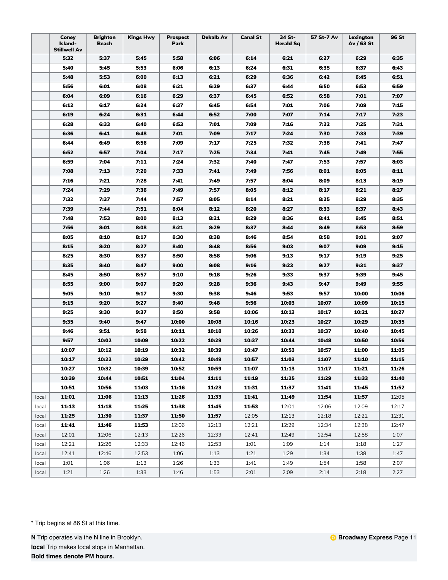|       | Coney<br>Island-<br><b>Stillwell Av</b> | <b>Brighton</b><br><b>Beach</b> | <b>Kings Hwy</b> | <b>Prospect</b><br>Park | <b>Dekalb Av</b> | <b>Canal St</b> | 34 St-<br><b>Herald Sq</b> | 57 St-7 Av | Lexington<br>Av / 63 St | 96 St |
|-------|-----------------------------------------|---------------------------------|------------------|-------------------------|------------------|-----------------|----------------------------|------------|-------------------------|-------|
|       | 5:32                                    | 5:37                            | 5:45             | 5:58                    | 6:06             | 6:14            | 6:21                       | 6:27       | 6:29                    | 6:35  |
|       | 5:40                                    | 5:45                            | 5:53             | 6:06                    | 6:13             | 6:24            | 6:31                       | 6:35       | 6:37                    | 6:43  |
|       | 5:48                                    | 5:53                            | 6:00             | 6:13                    | 6:21             | 6:29            | 6:36                       | 6:42       | 6:45                    | 6:51  |
|       | 5:56                                    | 6:01                            | 6:08             | 6:21                    | 6:29             | 6:37            | 6:44                       | 6:50       | 6:53                    | 6:59  |
|       | 6:04                                    | 6:09                            | 6:16             | 6:29                    | 6:37             | 6:45            | 6:52                       | 6:58       | 7:01                    | 7:07  |
|       | 6:12                                    | 6:17                            | 6:24             | 6:37                    | 6:45             | 6:54            | 7:01                       | 7:06       | 7:09                    | 7:15  |
|       | 6:19                                    | 6:24                            | 6:31             | 6:44                    | 6:52             | 7:00            | 7:07                       | 7:14       | 7:17                    | 7:23  |
|       | 6:28                                    | 6:33                            | 6:40             | 6:53                    | 7:01             | 7:09            | 7:16                       | 7:22       | 7:25                    | 7:31  |
|       | 6:36                                    | 6:41                            | 6:48             | 7:01                    | 7:09             | 7:17            | 7:24                       | 7:30       | 7:33                    | 7:39  |
|       | 6:44                                    | 6:49                            | 6:56             | 7:09                    | 7:17             | 7:25            | 7:32                       | 7:38       | 7:41                    | 7:47  |
|       | 6:52                                    | 6:57                            | 7:04             | 7:17                    | 7:25             | 7:34            | 7:41                       | 7:45       | 7:49                    | 7:55  |
|       | 6:59                                    | 7:04                            | 7:11             | 7:24                    | 7:32             | 7:40            | 7:47                       | 7:53       | 7:57                    | 8:03  |
|       | 7:08                                    | 7:13                            | 7:20             | 7:33                    | 7:41             | 7:49            | 7:56                       | 8:01       | 8:05                    | 8:11  |
|       | 7:16                                    | 7:21                            | 7:28             | 7:41                    | 7:49             | 7:57            | 8:04                       | 8:09       | 8:13                    | 8:19  |
|       | 7:24                                    | 7:29                            | 7:36             | 7:49                    | 7:57             | 8:05            | 8:12                       | 8:17       | 8:21                    | 8:27  |
|       | 7:32                                    | 7:37                            | 7:44             | 7:57                    | 8:05             | 8:14            | 8:21                       | 8:25       | 8:29                    | 8:35  |
|       | 7:39                                    | 7:44                            | 7:51             | 8:04                    | 8:12             | 8:20            | 8:27                       | 8:33       | 8:37                    | 8:43  |
|       | 7:48                                    | 7:53                            | 8:00             | 8:13                    | 8:21             | 8:29            | 8:36                       | 8:41       | 8:45                    | 8:51  |
|       | 7:56                                    | 8:01                            | 8:08             | 8:21                    | 8:29             | 8:37            | 8:44                       | 8:49       | 8:53                    | 8:59  |
|       | 8:05                                    | 8:10                            | 8:17             | 8:30                    | 8:38             | 8:46            | 8:54                       | 8:58       | 9:01                    | 9:07  |
|       | 8:15                                    | 8:20                            | 8:27             | 8:40                    | 8:48             | 8:56            | 9:03                       | 9:07       | 9:09                    | 9:15  |
|       | 8:25                                    | 8:30                            | 8:37             | 8:50                    | 8:58             | 9:06            | 9:13                       | 9:17       | 9:19                    | 9:25  |
|       | 8:35                                    | 8:40                            | 8:47             | 9:00                    | 9:08             | 9:16            | 9:23                       | 9:27       | 9:31                    | 9:37  |
|       | 8:45                                    | 8:50                            | 8:57             | 9:10                    | 9:18             | 9:26            | 9:33                       | 9:37       | 9:39                    | 9:45  |
|       | 8:55                                    | 9:00                            | 9:07             | 9:20                    | 9:28             | 9:36            | 9:43                       | 9:47       | 9:49                    | 9:55  |
|       | 9:05                                    | 9:10                            | 9:17             | 9:30                    | 9:38             | 9:46            | 9:53                       | 9:57       | 10:00                   | 10:06 |
|       | 9:15                                    | 9:20                            | 9:27             | 9:40                    | 9:48             | 9:56            | 10:03                      | 10:07      | 10:09                   | 10:15 |
|       | 9:25                                    | 9:30                            | 9:37             | 9:50                    | 9:58             | 10:06           | 10:13                      | 10:17      | 10:21                   | 10:27 |
|       | 9:35                                    | 9:40                            | 9:47             | 10:00                   | 10:08            | 10:16           | 10:23                      | 10:27      | 10:29                   | 10:35 |
|       | 9:46                                    | 9:51                            | 9:58             | 10:11                   | 10:18            | 10:26           | 10:33                      | 10:37      | 10:40                   | 10:45 |
|       | 9:57                                    | 10:02                           | 10:09            | 10:22                   | 10:29            | 10:37           | 10:44                      | 10:48      | 10:50                   | 10:56 |
|       | 10:07                                   | 10:12                           | 10:19            | 10:32                   | 10:39            | 10:47           | 10:53                      | 10:57      | 11:00                   | 11:05 |
|       | 10:17                                   | 10:22                           | 10:29            | 10:42                   | 10:49            | 10:57           | 11:03                      | 11:07      | 11:10                   | 11:15 |
|       | 10:27                                   | 10:32                           | 10:39            | 10:52                   | 10:59            | 11:07           | 11:13                      | 11:17      | 11:21                   | 11:26 |
|       | 10:39                                   | 10:44                           | 10:51            | 11:04                   | 11:11            | 11:19           | 11:25                      | 11:29      | 11:33                   | 11:40 |
|       | 10:51                                   | 10:56                           | 11:03            | 11:16                   | 11:23            | 11:31           | 11:37                      | 11:41      | 11:45                   | 11:52 |
| local | 11:01                                   | 11:06                           | 11:13            | 11:26                   | 11:33            | 11:41           | 11:49                      | 11:54      | 11:57                   | 12:05 |
| local | 11:13                                   | 11:18                           | 11:25            | 11:38                   | 11:45            | 11:53           | 12:01                      | 12:06      | 12:09                   | 12:17 |
| local | 11:25                                   | 11:30                           | 11:37            | 11:50                   | 11:57            | 12:05           | 12:13                      | 12:18      | 12:22                   | 12:31 |
| local | 11:41                                   | 11:46                           | 11:53            | 12:06                   | 12:13            | 12:21           | 12:29                      | 12:34      | 12:38                   | 12:47 |
| local | 12:01                                   | 12:06                           | 12:13            | 12:26                   | 12:33            | 12:41           | 12:49                      | 12:54      | 12:58                   | 1:07  |
| local | 12:21                                   | 12:26                           | 12:33            | 12:46                   | 12:53            | 1:01            | 1:09                       | 1:14       | 1:18                    | 1:27  |
| local | 12:41                                   | 12:46                           | 12:53            | 1:06                    | 1:13             | 1:21            | 1:29                       | 1:34       | 1:38                    | 1:47  |
| local | 1:01                                    | 1:06                            | 1:13             | 1:26                    | 1:33             | 1:41            | 1:49                       | 1:54       | 1:58                    | 2:07  |
| local | 1:21                                    | 1:26                            | 1:33             | 1:46                    | 1:53             | 2:01            | 2:09                       | 2:14       | 2:18                    | 2:27  |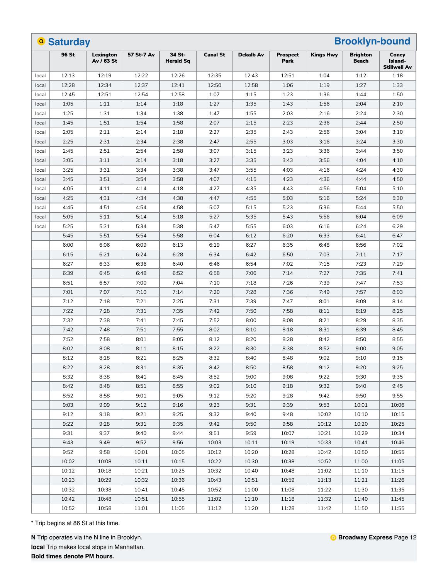|       | <sup>a</sup> Saturday |                         |            |                            |                 |           |                         |                  | <b>Brooklyn-bound</b>           |                                         |
|-------|-----------------------|-------------------------|------------|----------------------------|-----------------|-----------|-------------------------|------------------|---------------------------------|-----------------------------------------|
|       | 96 St                 | Lexington<br>Av / 63 St | 57 St-7 Av | 34 St-<br><b>Herald Sq</b> | <b>Canal St</b> | Dekalb Av | <b>Prospect</b><br>Park | <b>Kings Hwy</b> | <b>Brighton</b><br><b>Beach</b> | Coney<br>Island-<br><b>Stillwell Av</b> |
| local | 12:13                 | 12:19                   | 12:22      | 12:26                      | 12:35           | 12:43     | 12:51                   | 1:04             | 1:12                            | 1:18                                    |
| local | 12:28                 | 12:34                   | 12:37      | 12:41                      | 12:50           | 12:58     | 1:06                    | 1:19             | 1:27                            | 1:33                                    |
| local | 12:45                 | 12:51                   | 12:54      | 12:58                      | 1:07            | 1:15      | 1:23                    | 1:36             | 1:44                            | 1:50                                    |
| local | 1:05                  | 1:11                    | 1:14       | 1:18                       | 1:27            | 1:35      | 1:43                    | 1:56             | 2:04                            | 2:10                                    |
| local | 1:25                  | 1:31                    | 1:34       | 1:38                       | 1:47            | 1:55      | 2:03                    | 2:16             | 2:24                            | 2:30                                    |
| local | 1:45                  | 1:51                    | 1:54       | 1:58                       | 2:07            | 2:15      | 2:23                    | 2:36             | 2:44                            | 2:50                                    |
| local | 2:05                  | 2:11                    | 2:14       | 2:18                       | 2:27            | 2:35      | 2:43                    | 2:56             | 3:04                            | 3:10                                    |
| local | 2:25                  | 2:31                    | 2:34       | 2:38                       | 2:47            | 2:55      | 3:03                    | 3:16             | 3:24                            | 3:30                                    |
| local | 2:45                  | 2:51                    | 2:54       | 2:58                       | 3:07            | 3:15      | 3:23                    | 3:36             | 3:44                            | 3:50                                    |
| local | 3:05                  | 3:11                    | 3:14       | 3:18                       | 3:27            | 3:35      | 3:43                    | 3:56             | 4:04                            | 4:10                                    |
| local | 3:25                  | 3:31                    | 3:34       | 3:38                       | 3:47            | 3:55      | 4:03                    | 4:16             | 4:24                            | 4:30                                    |
| local | 3:45                  | 3:51                    | 3:54       | 3:58                       | 4:07            | 4:15      | 4:23                    | 4:36             | 4:44                            | 4:50                                    |
| local | 4:05                  | 4:11                    | 4:14       | 4:18                       | 4:27            | 4:35      | 4:43                    | 4:56             | 5:04                            | 5:10                                    |
| local | 4:25                  | 4:31                    | 4:34       | 4:38                       | 4:47            | 4:55      | 5:03                    | 5:16             | 5:24                            | 5:30                                    |
| local | 4:45                  | 4:51                    | 4:54       | 4:58                       | 5:07            | 5:15      | 5:23                    | 5:36             | 5:44                            | 5:50                                    |
| local | 5:05                  | 5:11                    | 5:14       | 5:18                       | 5:27            | 5:35      | 5:43                    | 5:56             | 6:04                            | 6:09                                    |
| local | 5:25                  | 5:31                    | 5:34       | 5:38                       | 5:47            | 5:55      | 6:03                    | 6:16             | 6:24                            | 6:29                                    |
|       | 5:45                  | 5:51                    | 5:54       | 5:58                       | 6:04            | 6:12      | 6:20                    | 6:33             | 6:41                            | 6:47                                    |
|       | 6:00                  | 6:06                    | 6:09       | 6:13                       | 6:19            | 6:27      | 6:35                    | 6:48             | 6:56                            | 7:02                                    |
|       | 6:15                  | 6:21                    | 6:24       | 6:28                       | 6:34            | 6:42      | 6:50                    | 7:03             | 7:11                            | 7:17                                    |
|       | 6:27                  | 6:33                    | 6:36       | 6:40                       | 6:46            | 6:54      | 7:02                    | 7:15             | 7:23                            | 7:29                                    |
|       | 6:39                  | 6:45                    | 6:48       | 6:52                       | 6:58            | 7:06      | 7:14                    | 7:27             | 7:35                            | 7:41                                    |
|       | 6:51                  | 6:57                    | 7:00       | 7:04                       | 7:10            | 7:18      | 7:26                    | 7:39             | 7:47                            | 7:53                                    |
|       | 7:01                  | 7:07                    | 7:10       | 7:14                       | 7:20            | 7:28      | 7:36                    | 7:49             | 7:57                            | 8:03                                    |
|       | 7:12                  | 7:18                    | 7:21       | 7:25                       | 7:31            | 7:39      | 7:47                    | 8:01             | 8:09                            | 8:14                                    |
|       | 7:22                  | 7:28                    | 7:31       | 7:35                       | 7:42            | 7:50      | 7:58                    | 8:11             | 8:19                            | 8:25                                    |
|       | 7:32                  | 7:38                    | 7:41       | 7:45                       | 7:52            | 8:00      | 8:08                    | 8:21             | 8:29                            | 8:35                                    |
|       | 7:42                  | 7:48                    | 7:51       | 7:55                       | 8:02            | 8:10      | 8:18                    | 8:31             | 8:39                            | 8:45                                    |
|       | 7:52                  | 7:58                    | 8:01       | 8:05                       | 8:12            | 8:20      | 8:28                    | 8:42             | 8:50                            | 8:55                                    |
|       | 8:02                  | 8:08                    | 8:11       |                            | 8:22            | 8:30      | 8:38                    | 8:52             | 9:00                            | 9:05                                    |
|       |                       |                         |            | 8:15                       |                 |           |                         |                  |                                 |                                         |
|       | 8:12                  | 8:18                    | 8:21       | 8:25                       | 8:32            | 8:40      | 8:48                    | 9:02             | 9:10                            | 9:15                                    |
|       | 8:22                  | 8:28                    | 8:31       | 8:35                       | 8:42            | 8:50      | 8:58                    | 9:12             | 9:20                            | 9:25                                    |
|       | 8:32                  | 8:38                    | 8:41       | 8:45                       | 8:52            | 9:00      | 9:08                    | 9:22             | 9:30                            | 9:35                                    |
|       | 8:42                  | 8:48                    | 8:51       | 8:55                       | 9:02            | 9:10      | 9:18                    | 9:32             | 9:40                            | 9:45                                    |
|       | 8:52                  | 8:58                    | 9:01       | 9:05                       | 9:12            | 9:20      | 9:28                    | 9:42             | 9:50                            | 9:55                                    |
|       | 9:03                  | 9:09                    | 9:12       | 9:16                       | 9:23            | 9:31      | 9:39                    | 9:53             | 10:01                           | 10:06                                   |
|       | 9:12                  | 9:18                    | 9:21       | 9:25                       | 9:32            | 9:40      | 9:48                    | 10:02            | 10:10                           | 10:15                                   |
|       | 9:22                  | 9:28                    | 9:31       | 9:35                       | 9:42            | 9:50      | 9:58                    | 10:12            | 10:20                           | 10:25                                   |
|       | 9:31                  | 9:37                    | 9:40       | 9:44                       | 9:51            | 9:59      | 10:07                   | 10:21            | 10:29                           | 10:34                                   |
|       | 9:43                  | 9:49                    | 9:52       | 9:56                       | 10:03           | 10:11     | 10:19                   | 10:33            | 10:41                           | 10:46                                   |
|       | 9:52                  | 9:58                    | 10:01      | 10:05                      | 10:12           | 10:20     | 10:28                   | 10:42            | 10:50                           | 10:55                                   |
|       | 10:02                 | 10:08                   | 10:11      | 10:15                      | 10:22           | 10:30     | 10:38                   | 10:52            | 11:00                           | 11:05                                   |
|       | 10:12                 | 10:18                   | 10:21      | 10:25                      | 10:32           | 10:40     | 10:48                   | 11:02            | 11:10                           | 11:15                                   |
|       | 10:23                 | 10:29                   | 10:32      | 10:36                      | 10:43           | 10:51     | 10:59                   | 11:13            | 11:21                           | 11:26                                   |
|       | 10:32                 | 10:38                   | 10:41      | 10:45                      | 10:52           | 11:00     | 11:08                   | 11:22            | 11:30                           | 11:35                                   |
|       | 10:42                 | 10:48                   | 10:51      | 10:55                      | 11:02           | 11:10     | 11:18                   | 11:32            | 11:40                           | 11:45                                   |
|       | 10:52                 | 10:58                   | 11:01      | 11:05                      | 11:12           | 11:20     | 11:28                   | 11:42            | 11:50                           | 11:55                                   |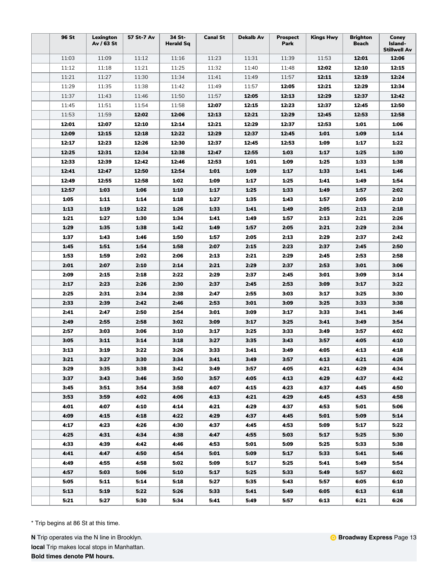| 96 St | Lexington<br>Av / 63 St | 57 St-7 Av | 34 St-<br><b>Herald Sq</b> | <b>Canal St</b> | <b>Dekalb Av</b> | <b>Prospect</b><br><b>Park</b> | <b>Kings Hwy</b> | <b>Brighton</b><br><b>Beach</b> | Coney<br>Island-<br><b>Stillwell Av</b> |
|-------|-------------------------|------------|----------------------------|-----------------|------------------|--------------------------------|------------------|---------------------------------|-----------------------------------------|
| 11:03 | 11:09                   | 11:12      | 11:16                      | 11:23           | 11:31            | 11:39                          | 11:53            | 12:01                           | 12:06                                   |
| 11:12 | 11:18                   | 11:21      | 11:25                      | 11:32           | 11:40            | 11:48                          | 12:02            | 12:10                           | 12:15                                   |
| 11:21 | 11:27                   | 11:30      | 11:34                      | 11:41           | 11:49            | 11:57                          | 12:11            | 12:19                           | 12:24                                   |
| 11:29 | 11:35                   | 11:38      | 11:42                      | 11:49           | 11:57            | 12:05                          | 12:21            | 12:29                           | 12:34                                   |
| 11:37 | 11:43                   | 11:46      | 11:50                      | 11:57           | 12:05            | 12:13                          | 12:29            | 12:37                           | 12:42                                   |
| 11:45 | 11:51                   | 11:54      | 11:58                      | 12:07           | 12:15            | 12:23                          | 12:37            | 12:45                           | 12:50                                   |
| 11:53 | 11:59                   | 12:02      | 12:06                      | 12:13           | 12:21            | 12:29                          | 12:45            | 12:53                           | 12:58                                   |
| 12:01 | 12:07                   | 12:10      | 12:14                      | 12:21           | 12:29            | 12:37                          | 12:53            | 1:01                            | 1:06                                    |
| 12:09 | 12:15                   | 12:18      | 12:22                      | 12:29           | 12:37            | 12:45                          | 1:01             | 1:09                            | 1:14                                    |
| 12:17 | 12:23                   | 12:26      | 12:30                      | 12:37           | 12:45            | 12:53                          | 1:09             | 1:17                            | 1:22                                    |
| 12:25 | 12:31                   | 12:34      | 12:38                      | 12:47           | 12:55            | 1:03                           | 1:17             | 1:25                            | 1:30                                    |
| 12:33 | 12:39                   | 12:42      | 12:46                      | 12:53           | 1:01             | 1:09                           | 1:25             | 1:33                            | 1:38                                    |
| 12:41 | 12:47                   | 12:50      | 12:54                      | 1:01            | 1:09             | 1:17                           | 1:33             | 1:41                            | 1:46                                    |
| 12:49 | 12:55                   | 12:58      | 1:02                       | 1:09            | 1:17             | 1:25                           | 1:41             | 1:49                            | 1:54                                    |
| 12:57 | 1:03                    | 1:06       | 1:10                       | 1:17            | 1:25             | 1:33                           | 1:49             | 1:57                            | 2:02                                    |
| 1:05  | 1:11                    | 1:14       | 1:18                       | 1:27            | 1:35             | 1:43                           | 1:57             | 2:05                            | 2:10                                    |
| 1:13  | 1:19                    | 1:22       | 1:26                       | 1:33            | 1:41             | 1:49                           | 2:05             | 2:13                            | 2:18                                    |
| 1:21  | 1:27                    | 1:30       | 1:34                       | 1:41            | 1:49             | 1:57                           | 2:13             | 2:21                            | 2:26                                    |
| 1:29  | 1:35                    | 1:38       | 1:42                       | 1:49            | 1:57             | 2:05                           | 2:21             | 2:29                            | 2:34                                    |
| 1:37  | 1:43                    | 1:46       | 1:50                       | 1:57            | 2:05             | 2:13                           | 2:29             | 2:37                            | 2:42                                    |
| 1:45  | 1:51                    | 1:54       | 1:58                       | 2:07            | 2:15             | 2:23                           | 2:37             | 2:45                            | 2:50                                    |
| 1:53  | 1:59                    | 2:02       | 2:06                       | 2:13            | 2:21             | 2:29                           | 2:45             | 2:53                            | 2:58                                    |
| 2:01  | 2:07                    | 2:10       | 2:14                       | 2:21            | 2:29             | 2:37                           | 2:53             | 3:01                            | 3:06                                    |
| 2:09  | 2:15                    | 2:18       | 2:22                       | 2:29            | 2:37             | 2:45                           | 3:01             | 3:09                            | 3:14                                    |
| 2:17  | 2:23                    | 2:26       | 2:30                       | 2:37            | 2:45             | 2:53                           | 3:09             | 3:17                            | 3:22                                    |
| 2:25  | 2:31                    | 2:34       | 2:38                       | 2:47            | 2:55             | 3:03                           | 3:17             | 3:25                            | 3:30                                    |
| 2:33  | 2:39                    | 2:42       | 2:46                       | 2:53            | 3:01             | 3:09                           | 3:25             | 3:33                            | 3:38                                    |
| 2:41  | 2:47                    | 2:50       | 2:54                       | 3:01            | 3:09             | 3:17                           | 3:33             | 3:41                            | 3:46                                    |
| 2:49  | 2:55                    | 2:58       | 3:02                       | 3:09            | 3:17             | 3:25                           | 3:41             | 3:49                            | 3:54                                    |
| 2:57  | 3:03                    | 3:06       | 3:10                       | 3:17            | 3:25             | 3:33                           | 3:49             | 3:57                            | 4:02                                    |
| 3:05  | 3:11                    | 3:14       | 3:18                       | 3:27            | 3:35             | 3:43                           | 3:57             | 4:05                            | 4:10                                    |
| 3:13  | 3:19                    | 3:22       | 3:26                       | 3:33            | 3:41             | 3:49                           | 4:05             | 4:13                            | 4:18                                    |
| 3:21  | 3:27                    | 3:30       | 3:34                       | 3:41            | 3:49             | 3:57                           | 4:13             | 4:21                            | 4:26                                    |
| 3:29  | 3:35                    | 3:38       | 3:42                       | 3:49            | 3:57             | 4:05                           | 4:21             | 4:29                            | 4:34                                    |
| 3:37  | 3:43                    | 3:46       | 3:50                       | 3:57            | 4:05             | 4:13                           | 4:29             | 4:37                            | 4:42                                    |
| 3:45  | 3:51                    | 3:54       | 3:58                       | 4:07            | 4:15             | 4:23                           | 4:37             | 4:45                            | 4:50                                    |
| 3:53  | 3:59                    | 4:02       | 4:06                       | 4:13            | 4:21             | 4:29                           | 4:45             | 4:53                            | 4:58                                    |
| 4:01  | 4:07                    | 4:10       | 4:14                       | 4:21            | 4:29             | 4:37                           | 4:53             | 5:01                            | 5:06                                    |
| 4:09  | 4:15                    | 4:18       | 4:22                       | 4:29            | 4:37             | 4:45                           | 5:01             | 5:09                            | 5:14                                    |
| 4:17  | 4:23                    | 4:26       | 4:30                       | 4:37            | 4:45             | 4:53                           | 5:09             | 5:17                            | 5:22                                    |
| 4:25  | 4:31                    | 4:34       | 4:38                       | 4:47            | 4:55             | 5:03                           | 5:17             | 5:25                            | 5:30                                    |
| 4:33  | 4:39                    | 4:42       | 4:46                       | 4:53            | 5:01             | 5:09                           | 5:25             | 5:33                            | 5:38                                    |
| 4:41  | 4:47                    | 4:50       | 4:54                       | 5:01            | 5:09             | 5:17                           | 5:33             | 5:41                            | 5:46                                    |
| 4:49  | 4:55                    | 4:58       | 5:02                       | 5:09            | 5:17             | 5:25                           | 5:41             | 5:49                            | 5:54                                    |
| 4:57  | 5:03                    | 5:06       | 5:10                       | 5:17            | 5:25             | 5:33                           | 5:49             | 5:57                            | 6:02                                    |
| 5:05  | 5:11                    | 5:14       | 5:18                       | 5:27            | 5:35             | 5:43                           | 5:57             | 6:05                            | 6:10                                    |
| 5:13  | 5:19                    | 5:22       | 5:26                       | 5:33            | 5:41             | 5:49                           | 6:05             | 6:13                            | 6:18                                    |
| 5:21  | 5:27                    | 5:30       | 5:34                       | 5:41            | 5:49             | 5:57                           | 6:13             | 6:21                            | 6:26                                    |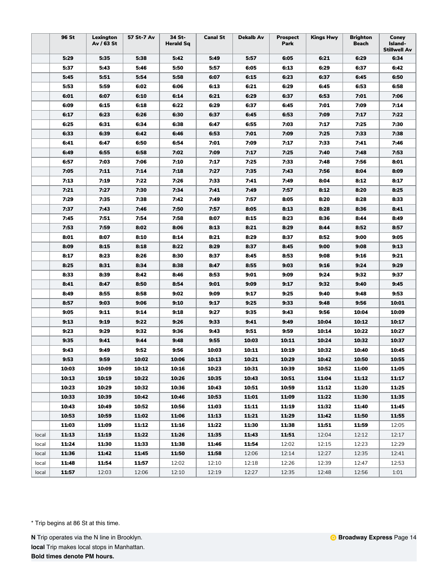|       | 96 St         | Lexington<br>Av / 63 St | 57 St-7 Av     | 34 St-<br><b>Herald Sq</b> | <b>Canal St</b> | <b>Dekalb Av</b> | <b>Prospect</b><br>Park | <b>Kings Hwy</b> | <b>Brighton</b><br><b>Beach</b> | Coney<br>Island-<br>Stillwell Av |
|-------|---------------|-------------------------|----------------|----------------------------|-----------------|------------------|-------------------------|------------------|---------------------------------|----------------------------------|
|       | 5:29          | 5:35                    | 5:38           | 5:42                       | 5:49            | 5:57             | 6:05                    | 6:21             | 6:29                            | 6:34                             |
|       | 5:37          | 5:43                    | 5:46           | 5:50                       | 5:57            | 6:05             | 6:13                    | 6:29             | 6:37                            | 6:42                             |
|       | 5:45          | 5:51                    | 5:54           | 5:58                       | 6:07            | 6:15             | 6:23                    | 6:37             | 6:45                            | 6:50                             |
|       | 5:53          | 5:59                    | 6:02           | 6:06                       | 6:13            | 6:21             | 6:29                    | 6:45             | 6:53                            | 6:58                             |
|       | 6:01          | 6:07                    | 6:10           | 6:14                       | 6:21            | 6:29             | 6:37                    | 6:53             | 7:01                            | 7:06                             |
|       | 6:09          | 6:15                    | 6:18           | 6:22                       | 6:29            | 6:37             | 6:45                    | 7:01             | 7:09                            | 7:14                             |
|       | 6:17          | 6:23                    | 6:26           | 6:30                       | 6:37            | 6:45             | 6:53                    | 7:09             | 7:17                            | 7:22                             |
|       | 6:25          | 6:31                    | 6:34           | 6:38                       | 6:47            | 6:55             | 7:03                    | 7:17             | 7:25                            | 7:30                             |
|       | 6:33          | 6:39                    | 6:42           | 6:46                       | 6:53            | 7:01             | 7:09                    | 7:25             | 7:33                            | 7:38                             |
|       | 6:41          | 6:47                    | 6:50           | 6:54                       | 7:01            | 7:09             | 7:17                    | 7:33             | 7:41                            | 7:46                             |
|       | 6:49          | 6:55                    | 6:58           | 7:02                       | 7:09            | 7:17             | 7:25                    | 7:40             | 7:48                            | 7:53                             |
|       | 6:57          | 7:03                    | 7:06           | 7:10                       | 7:17            | 7:25             | 7:33                    | 7:48             | 7:56                            | 8:01                             |
|       | 7:05          | 7:11                    | 7:14           | 7:18                       | 7:27            | 7:35             | 7:43                    | 7:56             | 8:04                            | 8:09                             |
|       | 7:13          | 7:19                    | 7:22           | 7:26                       | 7:33            | 7:41             | 7:49                    | 8:04             | 8:12                            | 8:17                             |
|       | 7:21          | 7:27                    | 7:30           | 7:34                       | 7:41            | 7:49             | 7:57                    | 8:12             | 8:20                            | 8:25                             |
|       | 7:29          | 7:35                    | 7:38           | 7:42                       | 7:49            | 7:57             | 8:05                    | 8:20             | 8:28                            | 8:33                             |
|       | 7:37          | 7:43                    | 7:46           | 7:50                       | 7:57            | 8:05             | 8:13                    | 8:28             | 8:36                            | 8:41                             |
|       | 7:45          | 7:51                    | 7:54           | 7:58                       | 8:07            | 8:15             | 8:23                    | 8:36             | 8:44                            | 8:49                             |
|       | 7:53          | 7:59                    | 8:02           | 8:06                       | 8:13            | 8:21             | 8:29                    | 8:44             | 8:52                            | 8:57                             |
|       | 8:01          | 8:07                    | 8:10           | 8:14                       | 8:21            | 8:29             | 8:37                    | 8:52             | 9:00                            | 9:05                             |
|       | 8:09          | 8:15                    | 8:18           | 8:22                       | 8:29            | 8:37             | 8:45                    | 9:00             | 9:08                            | 9:13                             |
|       | 8:17          | 8:23                    | 8:26           | 8:30                       | 8:37            | 8:45             | 8:53                    | 9:08             | 9:16                            | 9:21                             |
|       | 8:25          | 8:31                    | 8:34           | 8:38                       | 8:47            | 8:55             | 9:03                    | 9:16             | 9:24                            | 9:29                             |
|       | 8:33          | 8:39                    | 8:42           | 8:46                       | 8:53            | 9:01             | 9:09                    | 9:24             | 9:32                            | 9:37                             |
|       | 8:41          | 8:47                    | 8:50           | 8:54                       | 9:01            | 9:09             | 9:17                    | 9:32             | 9:40                            | 9:45                             |
|       | 8:49          | 8:55                    | 8:58           | 9:02                       | 9:09            | 9:17             | 9:25                    | 9:40             | 9:48                            | 9:53                             |
|       | 8:57          | 9:03                    | 9:06           | 9:10                       | 9:17            | 9:25             | 9:33                    | 9:48             | 9:56                            | 10:01                            |
|       | 9:05          | 9:11                    | 9:14           | 9:18                       | 9:27            | 9:35             | 9:43                    | 9:56             | 10:04                           | 10:09                            |
|       | 9:13          | 9:19                    | 9:22           | 9:26                       | 9:33            | 9:41             | 9:49                    | 10:04            | 10:12                           | 10:17                            |
|       | 9:23          | 9:29                    | 9:32           | 9:36                       | 9:43            | 9:51             | 9:59                    | 10:14            | 10:22                           | 10:27                            |
|       | 9:35          | 9:41                    | 9:44           | 9:48                       | 9:55            | 10:03            | 10:11                   | 10:24            | 10:32                           | 10:37                            |
|       | 9:43          | 9:49<br>9:59            | 9:52           | 9:56                       | 10:03           | 10:11            | 10:19                   | 10:32            | 10:40                           | 10:45<br>10:55                   |
|       | 9:53<br>10:03 | 10:09                   | 10:02<br>10:12 | 10:06<br>10:16             | 10:13<br>10:23  | 10:21<br>10:31   | 10:29<br>10:39          | 10:42<br>10:52   | 10:50<br>11:00                  | 11:05                            |
|       | 10:13         | 10:19                   | 10:22          | 10:26                      | 10:35           | 10:43            | 10:51                   | 11:04            | 11:12                           | 11:17                            |
|       | 10:23         | 10:29                   | 10:32          | 10:36                      | 10:43           | 10:51            | 10:59                   | 11:12            | 11:20                           | 11:25                            |
|       | 10:33         | 10:39                   | 10:42          | 10:46                      | 10:53           | 11:01            | 11:09                   | 11:22            | 11:30                           | 11:35                            |
|       | 10:43         | 10:49                   | 10:52          | 10:56                      | 11:03           | 11:11            | 11:19                   | 11:32            | 11:40                           | 11:45                            |
|       | 10:53         | 10:59                   | 11:02          | 11:06                      | 11:13           | 11:21            | 11:29                   | 11:42            | 11:50                           | 11:55                            |
|       | 11:03         | 11:09                   | 11:12          | 11:16                      | 11:22           | 11:30            | 11:38                   | 11:51            | 11:59                           | 12:05                            |
| local | 11:13         | 11:19                   | 11:22          | 11:26                      | 11:35           | 11:43            | 11:51                   | 12:04            | 12:12                           | 12:17                            |
| local | 11:24         | 11:30                   | 11:33          | 11:38                      | 11:46           | 11:54            | 12:02                   | 12:15            | 12:23                           | 12:29                            |
| local | 11:36         | 11:42                   | 11:45          | 11:50                      | 11:58           | 12:06            | 12:14                   | 12:27            | 12:35                           | 12:41                            |
| local | 11:48         | 11:54                   | 11:57          | 12:02                      | 12:10           | 12:18            | 12:26                   | 12:39            | 12:47                           | 12:53                            |
| local | 11:57         | 12:03                   | 12:06          | 12:10                      | 12:19           | 12:27            | 12:35                   | 12:48            | 12:56                           | 1:01                             |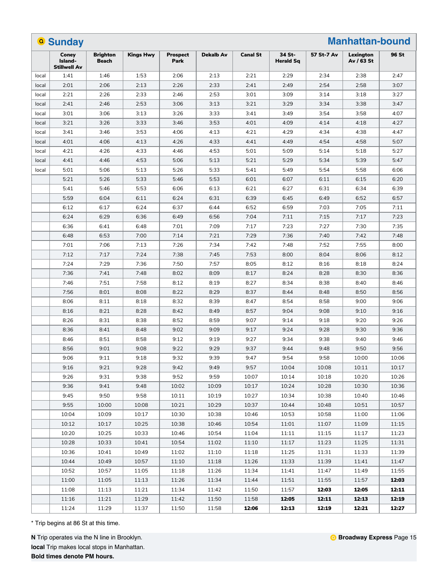|       | <sup>Q</sup> Sunday                     |                                 |                  |                         |                  |                 |                            |                | <b>Manhattan-bound</b>  |                |
|-------|-----------------------------------------|---------------------------------|------------------|-------------------------|------------------|-----------------|----------------------------|----------------|-------------------------|----------------|
|       | Coney<br>Island-<br><b>Stillwell Av</b> | <b>Brighton</b><br><b>Beach</b> | <b>Kings Hwy</b> | <b>Prospect</b><br>Park | <b>Dekalb Av</b> | <b>Canal St</b> | 34 St-<br><b>Herald Sa</b> | 57 St-7 Av     | Lexington<br>Av / 63 St | 96 St          |
| local | 1:41                                    | 1:46                            | 1:53             | 2:06                    | 2:13             | 2:21            | 2:29                       | 2:34           | 2:38                    | 2:47           |
| local | 2:01                                    | 2:06                            | 2:13             | 2:26                    | 2:33             | 2:41            | 2:49                       | 2:54           | 2:58                    | 3:07           |
| local | 2:21                                    | 2:26                            | 2:33             | 2:46                    | 2:53             | 3:01            | 3:09                       | 3:14           | 3:18                    | 3:27           |
| local | 2:41                                    | 2:46                            | 2:53             | 3:06                    | 3:13             | 3:21            | 3:29                       | 3:34           | 3:38                    | 3:47           |
| local | 3:01                                    | 3:06                            | 3:13             | 3:26                    | 3:33             | 3:41            | 3:49                       | 3:54           | 3:58                    | 4:07           |
| local | 3:21                                    | 3:26                            | 3:33             | 3:46                    | 3:53             | 4:01            | 4:09                       | 4:14           | 4:18                    | 4:27           |
| local | 3:41                                    | 3:46                            | 3:53             | 4:06                    | 4:13             | 4:21            | 4:29                       | 4:34           | 4:38                    | 4:47           |
| local | 4:01                                    | 4:06                            | 4:13             | 4:26                    | 4:33             | 4:41            | 4:49                       | 4:54           | 4:58                    | 5:07           |
| local | 4:21                                    | 4:26                            | 4:33             | 4:46                    | 4:53             | 5:01            | 5:09                       | 5:14           | 5:18                    | 5:27           |
| local | 4:41                                    | 4:46                            | 4:53             | 5:06                    | 5:13             | 5:21            | 5:29                       | 5:34           | 5:39                    | 5:47           |
| local | 5:01                                    | 5:06                            | 5:13             | 5:26                    | 5:33             | 5:41            | 5:49                       | 5:54           | 5:58                    | 6:06           |
|       | 5:21                                    | 5:26                            | 5:33             | 5:46                    | 5:53             | 6:01            | 6:07                       | 6:11           | 6:15                    | 6:20           |
|       | 5:41                                    | 5:46                            | 5:53             | 6:06                    | 6:13             | 6:21            | 6:27                       | 6:31           | 6:34                    | 6:39           |
|       | 5:59                                    | 6:04                            | 6:11             | 6:24                    | 6:31             | 6:39            | 6:45                       | 6:49           | 6:52                    | 6:57           |
|       | 6:12                                    | 6:17                            | 6:24             | 6:37                    | 6:44             | 6:52            | 6:59                       | 7:03           | 7:05                    | 7:11           |
|       | 6:24                                    | 6:29                            | 6:36             | 6:49                    | 6:56             | 7:04            | 7:11                       | 7:15           | 7:17                    | 7:23           |
|       | 6:36                                    | 6:41                            | 6:48             | 7:01                    | 7:09             | 7:17            | 7:23                       | 7:27           | 7:30                    | 7:35           |
|       | 6:48                                    | 6:53                            | 7:00             | 7:14                    | 7:21             | 7:29            | 7:36                       | 7:40           | 7:42                    | 7:48           |
|       | 7:01                                    | 7:06                            | 7:13             | 7:26                    | 7:34             | 7:42            | 7:48                       | 7:52           | 7:55                    | 8:00           |
|       | 7:12                                    | 7:17                            | 7:24             | 7:38                    | 7:45             | 7:53            | 8:00                       | 8:04           | 8:06                    | 8:12           |
|       | 7:24                                    | 7:29                            | 7:36             | 7:50                    | 7:57             | 8:05            | 8:12                       | 8:16           | 8:18                    | 8:24           |
|       | 7:36                                    | 7:41                            | 7:48             | 8:02                    | 8:09             | 8:17            | 8:24                       | 8:28           | 8:30                    | 8:36           |
|       | 7:46                                    | 7:51                            | 7:58             | 8:12                    | 8:19             | 8:27            | 8:34                       | 8:38           | 8:40                    | 8:46           |
|       | 7:56                                    | 8:01                            | 8:08             | 8:22                    | 8:29             | 8:37            | 8:44                       | 8:48           | 8:50                    | 8:56           |
|       | 8:06                                    | 8:11                            | 8:18             | 8:32                    | 8:39             | 8:47            | 8:54                       | 8:58           | 9:00                    | 9:06           |
|       | 8:16                                    | 8:21                            | 8:28             | 8:42                    | 8:49             | 8:57            | 9:04                       | 9:08           | 9:10                    | 9:16           |
|       | 8:26                                    | 8:31                            | 8:38             | 8:52                    | 8:59             | 9:07            | 9:14                       | 9:18           | 9:20                    | 9:26           |
|       | 8:36                                    | 8:41                            | 8:48             | 9:02                    | 9:09             | 9:17            | 9:24                       | 9:28           | 9:30                    | 9:36           |
|       | 8:46                                    | 8:51                            | 8:58             | 9:12                    | 9:19             | 9:27            | 9:34                       | 9:38           | 9:40                    | 9:46           |
|       | 8:56                                    | 9:01                            | 9:08             | 9:22                    | 9:29             | 9:37            | 9:44                       | 9:48           | 9:50                    | 9:56           |
|       | 9:06                                    | 9:11                            | 9:18             | 9:32                    | 9:39             | 9:47            | 9:54                       | 9:58           | 10:00                   | 10:06          |
|       | 9:16                                    | 9:21                            | 9:28             | 9:42                    | 9:49             | 9:57            | 10:04                      | 10:08          | 10:11                   | 10:17          |
|       | 9:26                                    | 9:31                            | 9:38             | 9:52                    | 9:59             | 10:07           | 10:14                      | 10:18          | 10:20                   | 10:26          |
|       | 9:36                                    | 9:41                            | 9:48             | 10:02                   | 10:09            | 10:17           | 10:24                      | 10:28          | 10:30                   | 10:36          |
|       | 9:45                                    | 9:50                            | 9:58             | 10:11                   | 10:19            | 10:27           | 10:34                      | 10:38          | 10:40                   | 10:46          |
|       | 9:55                                    | 10:00                           | 10:08            | 10:21                   | 10:29            | 10:37           | 10:44                      | 10:48          | 10:51                   | 10:57          |
|       | 10:04                                   | 10:09                           | 10:17            | 10:30                   | 10:38            | 10:46           | 10:53                      | 10:58          | 11:00                   | 11:06          |
|       | 10:12                                   | 10:17                           | 10:25            | 10:38                   | 10:46            | 10:54           | 11:01                      | 11:07          | 11:09                   | 11:15          |
|       | 10:20                                   | 10:25                           | 10:33            | 10:46                   | 10:54            | 11:04           | 11:11                      | 11:15          | 11:17                   | 11:23          |
|       | 10:28                                   | 10:33                           | 10:41            | 10:54                   | 11:02            | 11:10           | 11:17                      | 11:23          | 11:25                   | 11:31          |
|       | 10:36                                   | 10:41                           | 10:49            | 11:02                   | 11:10            | 11:18           | 11:25                      | 11:31          | 11:33                   | 11:39          |
|       | 10:44                                   | 10:49                           | 10:57            | 11:10                   | 11:18            | 11:26           | 11:33                      | 11:39          | 11:41                   | 11:47          |
|       | 10:52                                   | 10:57                           |                  | 11:18                   | 11:26            | 11:34           | 11:41                      |                | 11:49                   |                |
|       |                                         |                                 | 11:05            |                         |                  |                 |                            | 11:47          |                         | 11:55          |
|       | 11:00<br>11:08                          | 11:05<br>11:13                  | 11:13<br>11:21   | 11:26<br>11:34          | 11:34<br>11:42   | 11:44<br>11:50  | 11:51<br>11:57             | 11:55<br>12:03 | 11:57<br>12:05          | 12:03<br>12:11 |
|       | 11:16                                   | 11:21                           | 11:29            |                         | 11:50            | 11:58           | 12:05                      | 12:11          | 12:13                   | 12:19          |
|       |                                         |                                 |                  | 11:42                   |                  |                 |                            |                |                         |                |
|       | 11:24                                   | 11:29                           | 11:37            | 11:50                   | 11:58            | 12:06           | 12:13                      | 12:19          | 12:21                   | 12:27          |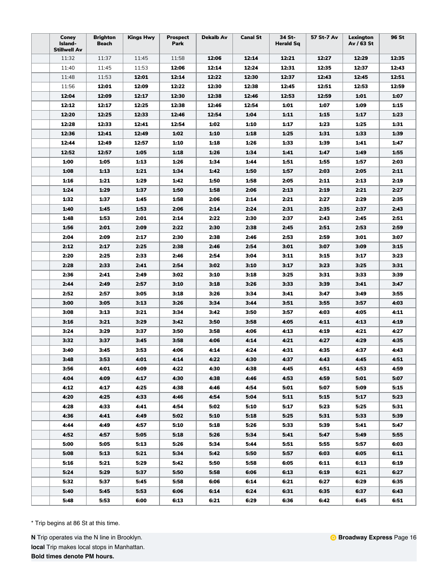| Coney<br>Island-<br><b>Stillwell Av</b> | <b>Brighton</b><br><b>Beach</b> | <b>Kings Hwy</b> | <b>Prospect</b><br>Park | <b>Dekalb Av</b> | <b>Canal St</b> | 34 St-<br><b>Herald Sq</b> | 57 St-7 Av | Lexington<br>Av / 63 St | 96 St |
|-----------------------------------------|---------------------------------|------------------|-------------------------|------------------|-----------------|----------------------------|------------|-------------------------|-------|
| 11:32                                   | 11:37                           | 11:45            | 11:58                   | 12:06            | 12:14           | 12:21                      | 12:27      | 12:29                   | 12:35 |
| 11:40                                   | 11:45                           | 11:53            | 12:06                   | 12:14            | 12:24           | 12:31                      | 12:35      | 12:37                   | 12:43 |
| 11:48                                   | 11:53                           | 12:01            | 12:14                   | 12:22            | 12:30           | 12:37                      | 12:43      | 12:45                   | 12:51 |
| 11:56                                   | 12:01                           | 12:09            | 12:22                   | 12:30            | 12:38           | 12:45                      | 12:51      | 12:53                   | 12:59 |
| 12:04                                   | 12:09                           | 12:17            | 12:30                   | 12:38            | 12:46           | 12:53                      | 12:59      | 1:01                    | 1:07  |
| 12:12                                   | 12:17                           | 12:25            | 12:38                   | 12:46            | 12:54           | 1:01                       | 1:07       | 1:09                    | 1:15  |
| 12:20                                   | 12:25                           | 12:33            | 12:46                   | 12:54            | 1:04            | 1:11                       | 1:15       | 1:17                    | 1:23  |
| 12:28                                   | 12:33                           | 12:41            | 12:54                   | 1:02             | 1:10            | 1:17                       | 1:23       | 1:25                    | 1:31  |
| 12:36                                   | 12:41                           | 12:49            | 1:02                    | 1:10             | 1:18            | 1:25                       | 1:31       | 1:33                    | 1:39  |
| 12:44                                   | 12:49                           | 12:57            | 1:10                    | 1:18             | 1:26            | 1:33                       | 1:39       | 1:41                    | 1:47  |
| 12:52                                   | 12:57                           | 1:05             | 1:18                    | 1:26             | 1:34            | 1:41                       | 1:47       | 1:49                    | 1:55  |
| 1:00                                    | 1:05                            | 1:13             | 1:26                    | 1:34             | 1:44            | 1:51                       | 1:55       | 1:57                    | 2:03  |
| 1:08                                    | 1:13                            | 1:21             | 1:34                    | 1:42             | 1:50            | 1:57                       | 2:03       | 2:05                    | 2:11  |
| 1:16                                    | 1:21                            | 1:29             | 1:42                    | 1:50             | 1:58            | 2:05                       | 2:11       | 2:13                    | 2:19  |
| 1:24                                    | 1:29                            | 1:37             | 1:50                    | 1:58             | 2:06            | 2:13                       | 2:19       | 2:21                    | 2:27  |
| 1:32                                    | 1:37                            | 1:45             | 1:58                    | 2:06             | 2:14            | 2:21                       | 2:27       | 2:29                    | 2:35  |
| 1:40                                    | 1:45                            | 1:53             | 2:06                    | 2:14             | 2:24            | 2:31                       | 2:35       | 2:37                    | 2:43  |
| 1:48                                    | 1:53                            | 2:01             | 2:14                    | 2:22             | 2:30            | 2:37                       | 2:43       | 2:45                    | 2:51  |
| 1:56                                    | 2:01                            | 2:09             | 2:22                    | 2:30             | 2:38            | 2:45                       | 2:51       | 2:53                    | 2:59  |
| 2:04                                    | 2:09                            | 2:17             | 2:30                    | 2:38             | 2:46            | 2:53                       | 2:59       | 3:01                    | 3:07  |
| 2:12                                    | 2:17                            | 2:25             | 2:38                    | 2:46             | 2:54            | 3:01                       | 3:07       | 3:09                    | 3:15  |
| 2:20                                    | 2:25                            | 2:33             | 2:46                    | 2:54             | 3:04            | 3:11                       | 3:15       | 3:17                    | 3:23  |
| 2:28                                    | 2:33                            | 2:41             | 2:54                    | 3:02             | 3:10            | 3:17                       | 3:23       | 3:25                    | 3:31  |
| 2:36                                    | 2:41                            | 2:49             | 3:02                    | 3:10             | 3:18            | 3:25                       | 3:31       | 3:33                    | 3:39  |
| 2:44                                    | 2:49                            | 2:57             | 3:10                    | 3:18             | 3:26            | 3:33                       | 3:39       | 3:41                    | 3:47  |
| 2:52                                    | 2:57                            | 3:05             | 3:18                    | 3:26             | 3:34            | 3:41                       | 3:47       | 3:49                    | 3:55  |
| 3:00                                    | 3:05                            | 3:13             | 3:26                    | 3:34             | 3:44            | 3:51                       | 3:55       | 3:57                    | 4:03  |
| 3:08                                    | 3:13                            | 3:21             | 3:34                    | 3:42             | 3:50            | 3:57                       | 4:03       | 4:05                    | 4:11  |
| 3:16                                    | 3:21                            | 3:29             | 3:42                    | 3:50             | 3:58            | 4:05                       | 4:11       | 4:13                    | 4:19  |
| 3:24                                    | 3:29                            | 3:37             | 3:50                    | 3:58             | 4:06            | 4:13                       | 4:19       | 4:21                    | 4:27  |
| 3:32                                    | 3:37                            | 3:45             | 3:58                    | 4:06             | 4:14            | 4:21                       | 4:27       | 4:29                    | 4:35  |
| 3:40                                    | 3:45                            | 3:53             | 4:06                    | 4:14             | 4:24            | 4:31                       | 4:35       | 4:37                    | 4:43  |
| 3:48                                    | 3:53                            | 4:01             | 4:14                    | 4:22             | 4:30            | 4:37                       | 4:43       | 4:45                    | 4:51  |
| 3:56                                    | 4:01                            | 4:09             | 4:22                    | 4:30             | 4:38            | 4:45                       | 4:51       | 4:53                    | 4:59  |
| 4:04                                    | 4:09                            | 4:17             | 4:30                    | 4:38             | 4:46            | 4:53                       | 4:59       | 5:01                    | 5:07  |
| 4:12                                    | 4:17                            | 4:25             | 4:38                    | 4:46             | 4:54            | 5:01                       | 5:07       | 5:09                    | 5:15  |
| 4:20                                    | 4:25                            | 4:33             | 4:46                    | 4:54             | 5:04            | 5:11                       | 5:15       | 5:17                    | 5:23  |
| 4:28                                    | 4:33                            | 4:41             | 4:54                    | 5:02             | 5:10            | 5:17                       | 5:23       | 5:25                    | 5:31  |
| 4:36                                    | 4:41                            | 4:49             | 5:02                    | 5:10             | 5:18            | 5:25                       | 5:31       | 5:33                    | 5:39  |
| 4:44                                    | 4:49                            | 4:57             | 5:10                    | 5:18             | 5:26            | 5:33                       | 5:39       | 5:41                    | 5:47  |
| 4:52                                    | 4:57                            | 5:05             | 5:18                    | 5:26             | 5:34            | 5:41                       | 5:47       | 5:49                    | 5:55  |
| 5:00                                    | 5:05                            | 5:13             | 5:26                    | 5:34             | 5:44            | 5:51                       | 5:55       | 5:57                    | 6:03  |
| 5:08                                    | 5:13                            | 5:21             | 5:34                    | 5:42             | 5:50            | 5:57                       | 6:03       | 6:05                    | 6:11  |
| 5:16                                    | 5:21                            | 5:29             | 5:42                    | 5:50             | 5:58            | 6:05                       | 6:11       | 6:13                    | 6:19  |
| 5:24                                    | 5:29                            | 5:37             | 5:50                    | 5:58             | 6:06            | 6:13                       | 6:19       | 6:21                    | 6:27  |
| 5:32                                    | 5:37                            | 5:45             | 5:58                    | 6:06             | 6:14            | 6:21                       | 6:27       | 6:29                    | 6:35  |
| 5:40                                    | 5:45                            | 5:53             | 6:06                    | 6:14             | 6:24            | 6:31                       | 6:35       | 6:37                    | 6:43  |
| 5:48                                    | 5:53                            | 6:00             | 6:13                    | 6:21             | 6:29            | 6:36                       | 6:42       | 6:45                    | 6:51  |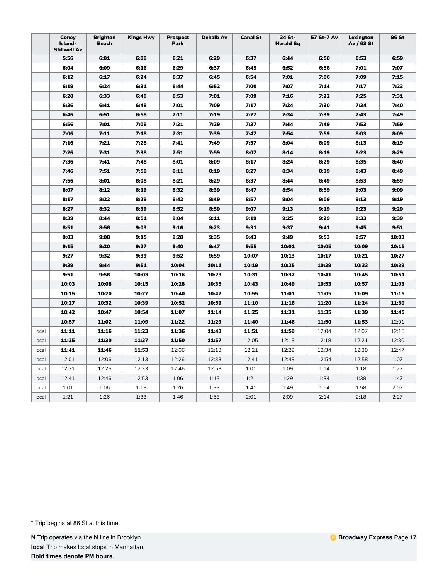|       | Coney<br>Island-<br>Stillwell Av | <b>Brighton</b><br><b>Beach</b> | <b>Kings Hwy</b> | <b>Prospect</b><br>Park | <b>Dekalb Av</b> | Canal St | 34 St-<br><b>Herald Sq</b> | 57 St-7 Av | Lexington<br>Av / 63 St | 96 St |
|-------|----------------------------------|---------------------------------|------------------|-------------------------|------------------|----------|----------------------------|------------|-------------------------|-------|
|       | 5:56                             | 6:01                            | 6:08             | 6:21                    | 6:29             | 6:37     | 6:44                       | 6:50       | 6:53                    | 6:59  |
|       | 6:04                             | 6:09                            | 6:16             | 6:29                    | 6:37             | 6:45     | 6:52                       | 6:58       | 7:01                    | 7:07  |
|       | 6:12                             | 6:17                            | 6:24             | 6:37                    | 6:45             | 6:54     | 7:01                       | 7:06       | 7:09                    | 7:15  |
|       | 6:19                             | 6:24                            | 6:31             | 6:44                    | 6:52             | 7:00     | 7:07                       | 7:14       | 7:17                    | 7:23  |
|       | 6:28                             | 6:33                            | 6:40             | 6:53                    | 7:01             | 7:09     | 7:16                       | 7:22       | 7:25                    | 7:31  |
|       | 6:36                             | 6:41                            | 6:48             | 7:01                    | 7:09             | 7:17     | 7:24                       | 7:30       | 7:34                    | 7:40  |
|       | 6:46                             | 6:51                            | 6:58             | 7:11                    | 7:19             | 7:27     | 7:34                       | 7:39       | 7:43                    | 7:49  |
|       | 6:56                             | 7:01                            | 7:08             | 7:21                    | 7:29             | 7:37     | 7:44                       | 7:49       | 7:53                    | 7:59  |
|       | 7:06                             | 7:11                            | 7:18             | 7:31                    | 7:39             | 7:47     | 7:54                       | 7:59       | 8:03                    | 8:09  |
|       | 7:16                             | 7:21                            | 7:28             | 7:41                    | 7:49             | 7:57     | 8:04                       | 8:09       | 8:13                    | 8:19  |
|       | 7:26                             | 7:31                            | 7:38             | 7:51                    | 7:59             | 8:07     | 8:14                       | 8:19       | 8:23                    | 8:29  |
|       | 7:36                             | 7:41                            | 7:48             | 8:01                    | 8:09             | 8:17     | 8:24                       | 8:29       | 8:35                    | 8:40  |
|       | 7:46                             | 7:51                            | 7:58             | 8:11                    | 8:19             | 8:27     | 8:34                       | 8:39       | 8:43                    | 8:49  |
|       | 7:56                             | 8:01                            | 8:08             | 8:21                    | 8:29             | 8:37     | 8:44                       | 8:49       | 8:53                    | 8:59  |
|       | 8:07                             | 8:12                            | 8:19             | 8:32                    | 8:39             | 8:47     | 8:54                       | 8:59       | 9:03                    | 9:09  |
|       | 8:17                             | 8:22                            | 8:29             | 8:42                    | 8:49             | 8:57     | 9:04                       | 9:09       | 9:13                    | 9:19  |
|       | 8:27                             | 8:32                            | 8:39             | 8:52                    | 8:59             | 9:07     | 9:13                       | 9:19       | 9:23                    | 9:29  |
|       | 8:39                             | 8:44                            | 8:51             | 9:04                    | 9:11             | 9:19     | 9:25                       | 9:29       | 9:33                    | 9:39  |
|       | 8:51                             | 8:56                            | 9:03             | 9:16                    | 9:23             | 9:31     | 9:37                       | 9:41       | 9:45                    | 9:51  |
|       | 9:03                             | 9:08                            | 9:15             | 9:28                    | 9:35             | 9:43     | 9:49                       | 9:53       | 9:57                    | 10:03 |
|       | 9:15                             | 9:20                            | 9:27             | 9:40                    | 9:47             | 9:55     | 10:01                      | 10:05      | 10:09                   | 10:15 |
|       | 9:27                             | 9:32                            | 9:39             | 9:52                    | 9:59             | 10:07    | 10:13                      | 10:17      | 10:21                   | 10:27 |
|       | 9:39                             | 9:44                            | 9:51             | 10:04                   | 10:11            | 10:19    | 10:25                      | 10:29      | 10:33                   | 10:39 |
|       | 9:51                             | 9:56                            | 10:03            | 10:16                   | 10:23            | 10:31    | 10:37                      | 10:41      | 10:45                   | 10:51 |
|       | 10:03                            | 10:08                           | 10:15            | 10:28                   | 10:35            | 10:43    | 10:49                      | 10:53      | 10:57                   | 11:03 |
|       | 10:15                            | 10:20                           | 10:27            | 10:40                   | 10:47            | 10:55    | 11:01                      | 11:05      | 11:09                   | 11:15 |
|       | 10:27                            | 10:32                           | 10:39            | 10:52                   | 10:59            | 11:10    | 11:16                      | 11:20      | 11:24                   | 11:30 |
|       | 10:42                            | 10:47                           | 10:54            | 11:07                   | 11:14            | 11:25    | 11:31                      | 11:35      | 11:39                   | 11:45 |
|       | 10:57                            | 11:02                           | 11:09            | 11:22                   | 11:29            | 11:40    | 11:46                      | 11:50      | 11:53                   | 12:01 |
| local | 11:11                            | 11:16                           | 11:23            | 11:36                   | 11:43            | 11:51    | 11:59                      | 12:04      | 12:07                   | 12:15 |
| local | 11:25                            | 11:30                           | 11:37            | 11:50                   | 11:57            | 12:05    | 12:13                      | 12:18      | 12:21                   | 12:30 |
| local | 11:41                            | 11:46                           | 11:53            | 12:06                   | 12:13            | 12:21    | 12:29                      | 12:34      | 12:38                   | 12:47 |
| local | 12:01                            | 12:06                           | 12:13            | 12:26                   | 12:33            | 12:41    | 12:49                      | 12:54      | 12:58                   | 1:07  |
| local | 12:21                            | 12:26                           | 12:33            | 12:46                   | 12:53            | 1:01     | 1:09                       | 1:14       | 1:18                    | 1:27  |
| local | 12:41                            | 12:46                           | 12:53            | 1:06                    | 1:13             | 1:21     | 1:29                       | 1:34       | 1:38                    | 1:47  |
| local | 1:01                             | 1:06                            | 1:13             | 1:26                    | 1:33             | 1:41     | 1:49                       | 1:54       | 1:58                    | 2:07  |
| local | 1:21                             | 1:26                            | 1:33             | 1:46                    | 1:53             | 2:01     | 2:09                       | 2:14       | 2:18                    | 2:27  |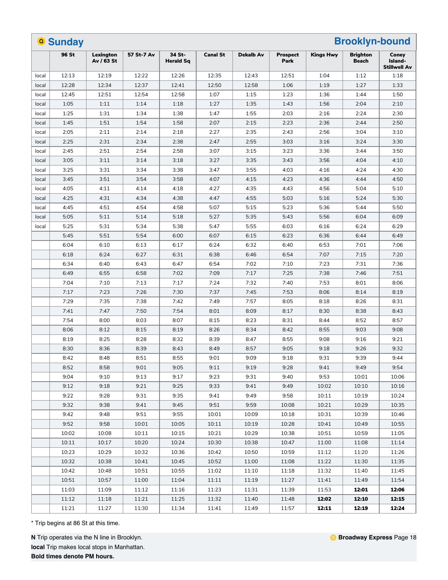|       | <sup>Q</sup> Sunday |                         |            |                            |                 |           |                         | <b>Brooklyn-bound</b> |                                 |                                         |  |  |
|-------|---------------------|-------------------------|------------|----------------------------|-----------------|-----------|-------------------------|-----------------------|---------------------------------|-----------------------------------------|--|--|
|       | 96 St               | Lexington<br>Av / 63 St | 57 St-7 Av | 34 St-<br><b>Herald Sa</b> | <b>Canal St</b> | Dekalb Av | <b>Prospect</b><br>Park | <b>Kings Hwy</b>      | <b>Brighton</b><br><b>Beach</b> | Coney<br>Island-<br><b>Stillwell Av</b> |  |  |
| local | 12:13               | 12:19                   | 12:22      | 12:26                      | 12:35           | 12:43     | 12:51                   | 1:04                  | 1:12                            | 1:18                                    |  |  |
| local | 12:28               | 12:34                   | 12:37      | 12:41                      | 12:50           | 12:58     | 1:06                    | 1:19                  | 1:27                            | 1:33                                    |  |  |
| local | 12:45               | 12:51                   | 12:54      | 12:58                      | 1:07            | 1:15      | 1:23                    | 1:36                  | 1:44                            | 1:50                                    |  |  |
| local | 1:05                | 1:11                    | 1:14       | 1:18                       | 1:27            | 1:35      | 1:43                    | 1:56                  | 2:04                            | 2:10                                    |  |  |
| local | 1:25                | 1:31                    | 1:34       | 1:38                       | 1:47            | 1:55      | 2:03                    | 2:16                  | 2:24                            | 2:30                                    |  |  |
| local | 1:45                | 1:51                    | 1:54       | 1:58                       | 2:07            | 2:15      | 2:23                    | 2:36                  | 2:44                            | 2:50                                    |  |  |
| local | 2:05                | 2:11                    | 2:14       | 2:18                       | 2:27            | 2:35      | 2:43                    | 2:56                  | 3:04                            | 3:10                                    |  |  |
| local | 2:25                | 2:31                    | 2:34       | 2:38                       | 2:47            | 2:55      | 3:03                    | 3:16                  | 3:24                            | 3:30                                    |  |  |
| local | 2:45                | 2:51                    | 2:54       | 2:58                       | 3:07            | 3:15      | 3:23                    | 3:36                  | 3:44                            | 3:50                                    |  |  |
| local | 3:05                | 3:11                    | 3:14       | 3:18                       | 3:27            | 3:35      | 3:43                    | 3:56                  | 4:04                            | 4:10                                    |  |  |
| local | 3:25                | 3:31                    | 3:34       | 3:38                       | 3:47            | 3:55      | 4:03                    | 4:16                  | 4:24                            | 4:30                                    |  |  |
| local | 3:45                | 3:51                    | 3:54       | 3:58                       | 4:07            | 4:15      | 4:23                    | 4:36                  | 4:44                            | 4:50                                    |  |  |
| local | 4:05                | 4:11                    | 4:14       | 4:18                       | 4:27            | 4:35      | 4:43                    | 4:56                  | 5:04                            | 5:10                                    |  |  |
| local | 4:25                | 4:31                    | 4:34       | 4:38                       | 4:47            | 4:55      | 5:03                    | 5:16                  | 5:24                            | 5:30                                    |  |  |
| local | 4:45                | 4:51                    | 4:54       | 4:58                       | 5:07            | 5:15      | 5:23                    | 5:36                  | 5:44                            | 5:50                                    |  |  |
| local | 5:05                | 5:11                    | 5:14       | 5:18                       | 5:27            | 5:35      | 5:43                    | 5:56                  | 6:04                            | 6:09                                    |  |  |
| local | 5:25                | 5:31                    | 5:34       | 5:38                       | 5:47            | 5:55      | 6:03                    | 6:16                  | 6:24                            | 6:29                                    |  |  |
|       | 5:45                | 5:51                    | 5:54       | 6:00                       | 6:07            | 6:15      | 6:23                    | 6:36                  | 6:44                            | 6:49                                    |  |  |
|       | 6:04                | 6:10                    | 6:13       | 6:17                       | 6:24            | 6:32      | 6:40                    | 6:53                  | 7:01                            | 7:06                                    |  |  |
|       | 6:18                | 6:24                    | 6:27       | 6:31                       | 6:38            | 6:46      | 6:54                    | 7:07                  | 7:15                            | 7:20                                    |  |  |
|       | 6:34                | 6:40                    | 6:43       | 6:47                       | 6:54            | 7:02      | 7:10                    | 7:23                  | 7:31                            | 7:36                                    |  |  |
|       | 6:49                | 6:55                    | 6:58       | 7:02                       | 7:09            | 7:17      | 7:25                    | 7:38                  | 7:46                            | 7:51                                    |  |  |
|       | 7:04                | 7:10                    | 7:13       | 7:17                       | 7:24            | 7:32      | 7:40                    | 7:53                  | 8:01                            | 8:06                                    |  |  |
|       | 7:17                | 7:23                    | 7:26       | 7:30                       | 7:37            | 7:45      | 7:53                    | 8:06                  | 8:14                            | 8:19                                    |  |  |
|       | 7:29                | 7:35                    | 7:38       | 7:42                       | 7:49            | 7:57      | 8:05                    | 8:18                  | 8:26                            | 8:31                                    |  |  |
|       | 7:41                | 7:47                    | 7:50       | 7:54                       | 8:01            | 8:09      | 8:17                    | 8:30                  | 8:38                            | 8:43                                    |  |  |
|       | 7:54                | 8:00                    | 8:03       | 8:07                       | 8:15            | 8:23      | 8:31                    | 8:44                  | 8:52                            | 8:57                                    |  |  |
|       | 8:06                | 8:12                    | 8:15       | 8:19                       | 8:26            | 8:34      | 8:42                    | 8:55                  | 9:03                            | 9:08                                    |  |  |
|       | 8:19                | 8:25                    | 8:28       | 8:32                       | 8:39            | 8:47      | 8:55                    | 9:08                  | 9:16                            | 9:21                                    |  |  |
|       | 8:30                | 8:36                    | 8:39       | 8:43                       | 8:49            | 8:57      | 9:05                    | 9:18                  | 9:26                            | 9:32                                    |  |  |
|       | 8:42                | 8:48                    | 8:51       | 8:55                       | 9:01            | 9:09      | 9:18                    | 9:31                  | 9:39                            | 9:44                                    |  |  |
|       | 8:52                | 8:58                    | 9:01       | 9:05                       | 9:11            | 9:19      | 9:28                    | 9:41                  | 9:49                            | 9:54                                    |  |  |
|       | 9:04                | 9:10                    | 9:13       | 9:17                       | 9:23            | 9:31      | 9:40                    | 9:53                  | 10:01                           | 10:06                                   |  |  |
|       | 9:12                | 9:18                    | 9:21       | 9:25                       | 9:33            | 9:41      | 9:49                    | 10:02                 | 10:10                           | 10:16                                   |  |  |
|       | 9:22                | 9:28                    | 9:31       | 9:35                       | 9:41            | 9:49      | 9:58                    | 10:11                 | 10:19                           | 10:24                                   |  |  |
|       | 9:32                | 9:38                    | 9:41       | 9:45                       | 9:51            | 9:59      | 10:08                   | 10:21                 | 10:29                           | 10:35                                   |  |  |
|       | 9:42                | 9:48                    | 9:51       | 9:55                       | 10:01           | 10:09     | 10:18                   | 10:31                 | 10:39                           | 10:46                                   |  |  |
|       | 9:52                | 9:58                    | 10:01      | 10:05                      | 10:11           | 10:19     | 10:28                   | 10:41                 | 10:49                           | 10:55                                   |  |  |
|       | 10:02               | 10:08                   | 10:11      | 10:15                      | 10:21           | 10:29     | 10:38                   | 10:51                 | 10:59                           | 11:05                                   |  |  |
|       | 10:11               | 10:17                   | 10:20      | 10:24                      | 10:30           | 10:38     | 10:47                   | 11:00                 | 11:08                           | 11:14                                   |  |  |
|       | 10:23               | 10:29                   | 10:32      | 10:36                      | 10:42           | 10:50     | 10:59                   | 11:12                 | 11:20                           | 11:26                                   |  |  |
|       | 10:32               | 10:38                   | 10:41      | 10:45                      | 10:52           | 11:00     | 11:08                   | 11:22                 | 11:30                           | 11:35                                   |  |  |
|       | 10:42               | 10:48                   | 10:51      | 10:55                      | 11:02           | 11:10     | 11:18                   | 11:32                 | 11:40                           | 11:45                                   |  |  |
|       | 10:51               | 10:57                   | 11:00      | 11:04                      | 11:11           | 11:19     | 11:27                   | 11:41                 | 11:49                           | 11:54                                   |  |  |
|       | 11:03               | 11:09                   | 11:12      | 11:16                      | 11:23           | 11:31     | 11:39                   | 11:53                 | 12:01                           | 12:06                                   |  |  |
|       | 11:12               | 11:18                   | 11:21      | 11:25                      | 11:32           | 11:40     | 11:48                   | 12:02                 | 12:10                           | 12:15                                   |  |  |
|       | 11:21               | 11:27                   | 11:30      | 11:34                      | 11:41           | 11:49     | 11:57                   | 12:11                 | 12:19                           | 12:24                                   |  |  |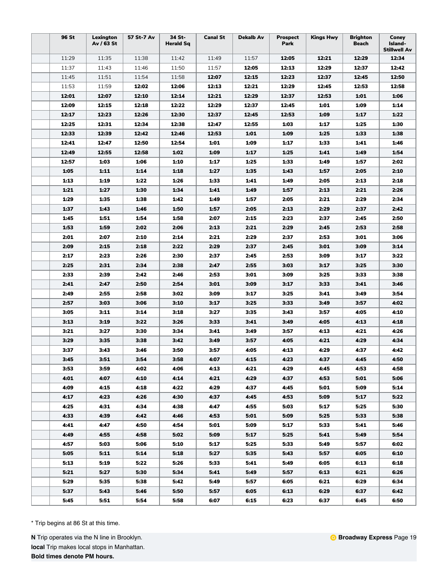| 96 St | Lexington<br>Av / 63 St | 57 St-7 Av | 34 St-<br><b>Herald Sq</b> | <b>Canal St</b> | <b>Dekalb Av</b> | <b>Prospect</b><br>Park | <b>Kings Hwy</b> | <b>Brighton</b><br><b>Beach</b> | Coney<br>Island-<br><b>Stillwell Av</b> |
|-------|-------------------------|------------|----------------------------|-----------------|------------------|-------------------------|------------------|---------------------------------|-----------------------------------------|
| 11:29 | 11:35                   | 11:38      | 11:42                      | 11:49           | 11:57            | 12:05                   | 12:21            | 12:29                           | 12:34                                   |
| 11:37 | 11:43                   | 11:46      | 11:50                      | 11:57           | 12:05            | 12:13                   | 12:29            | 12:37                           | 12:42                                   |
| 11:45 | 11:51                   | 11:54      | 11:58                      | 12:07           | 12:15            | 12:23                   | 12:37            | 12:45                           | 12:50                                   |
| 11:53 | 11:59                   | 12:02      | 12:06                      | 12:13           | 12:21            | 12:29                   | 12:45            | 12:53                           | 12:58                                   |
| 12:01 | 12:07                   | 12:10      | 12:14                      | 12:21           | 12:29            | 12:37                   | 12:53            | 1:01                            | 1:06                                    |
| 12:09 | 12:15                   | 12:18      | 12:22                      | 12:29           | 12:37            | 12:45                   | 1:01             | 1:09                            | 1:14                                    |
| 12:17 | 12:23                   | 12:26      | 12:30                      | 12:37           | 12:45            | 12:53                   | 1:09             | 1:17                            | 1:22                                    |
| 12:25 | 12:31                   | 12:34      | 12:38                      | 12:47           | 12:55            | 1:03                    | 1:17             | 1:25                            | 1:30                                    |
| 12:33 | 12:39                   | 12:42      | 12:46                      | 12:53           | 1:01             | 1:09                    | 1:25             | 1:33                            | 1:38                                    |
| 12:41 | 12:47                   | 12:50      | 12:54                      | 1:01            | 1:09             | 1:17                    | 1:33             | 1:41                            | 1:46                                    |
| 12:49 | 12:55                   | 12:58      | 1:02                       | 1:09            | 1:17             | 1:25                    | 1:41             | 1:49                            | 1:54                                    |
| 12:57 | 1:03                    | 1:06       | 1:10                       | 1:17            | 1:25             | 1:33                    | 1:49             | 1:57                            | 2:02                                    |
| 1:05  | 1:11                    | 1:14       | 1:18                       | 1:27            | 1:35             | 1:43                    | 1:57             | 2:05                            | 2:10                                    |
| 1:13  | 1:19                    | 1:22       | 1:26                       | 1:33            | 1:41             | 1:49                    | 2:05             | 2:13                            | 2:18                                    |
| 1:21  | 1:27                    | 1:30       | 1:34                       | 1:41            | 1:49             | 1:57                    | 2:13             | 2:21                            | 2:26                                    |
| 1:29  | 1:35                    | 1:38       | 1:42                       | 1:49            | 1:57             | 2:05                    | 2:21             | 2:29                            | 2:34                                    |
| 1:37  | 1:43                    | 1:46       | 1:50                       | 1:57            | 2:05             | 2:13                    | 2:29             | 2:37                            | 2:42                                    |
| 1:45  | 1:51                    | 1:54       | 1:58                       | 2:07            | 2:15             | 2:23                    | 2:37             | 2:45                            | 2:50                                    |
| 1:53  | 1:59                    | 2:02       | 2:06                       | 2:13            | 2:21             | 2:29                    | 2:45             | 2:53                            | 2:58                                    |
| 2:01  | 2:07                    | 2:10       | 2:14                       | 2:21            | 2:29             | 2:37                    | 2:53             | 3:01                            | 3:06                                    |
| 2:09  | 2:15                    | 2:18       | 2:22                       | 2:29            | 2:37             | 2:45                    | 3:01             | 3:09                            | 3:14                                    |
| 2:17  | 2:23                    | 2:26       | 2:30                       | 2:37            | 2:45             | 2:53                    | 3:09             | 3:17                            | 3:22                                    |
| 2:25  | 2:31                    | 2:34       | 2:38                       | 2:47            | 2:55             | 3:03                    | 3:17             | 3:25                            | 3:30                                    |
| 2:33  | 2:39                    | 2:42       | 2:46                       | 2:53            | 3:01             | 3:09                    | 3:25             | 3:33                            | 3:38                                    |
| 2:41  | 2:47                    | 2:50       | 2:54                       | 3:01            | 3:09             | 3:17                    | 3:33             | 3:41                            | 3:46                                    |
| 2:49  | 2:55                    | 2:58       | 3:02                       | 3:09            | 3:17             | 3:25                    | 3:41             | 3:49                            | 3:54                                    |
| 2:57  | 3:03                    | 3:06       | 3:10                       | 3:17            | 3:25             | 3:33                    | 3:49             | 3:57                            | 4:02                                    |
| 3:05  | 3:11                    | 3:14       | 3:18                       | 3:27            | 3:35             | 3:43                    | 3:57             | 4:05                            | 4:10                                    |
| 3:13  | 3:19                    | 3:22       | 3:26                       | 3:33            | 3:41             | 3:49                    | 4:05             | 4:13                            | 4:18                                    |
| 3:21  | 3:27                    | 3:30       | 3:34                       | 3:41            | 3:49             | 3:57                    | 4:13             | 4:21                            | 4:26                                    |
| 3:29  | 3:35                    | 3:38       | 3:42                       | 3:49            | 3:57             | 4:05                    | 4:21             | 4:29                            | 4:34                                    |
| 3:37  | 3:43                    | 3:46       | 3:50                       | 3:57            | 4:05             | 4:13                    | 4:29             | 4:37                            | 4:42                                    |
| 3:45  | 3:51                    | 3:54       | 3:58                       | 4:07            | 4:15             | 4:23                    | 4:37             | 4:45                            | 4:50                                    |
| 3:53  | 3:59                    | 4:02       | 4:06                       | 4:13            | 4:21             | 4:29                    | 4:45             | 4:53                            | 4:58                                    |
| 4:01  | 4:07                    | 4:10       | 4:14                       | 4:21            | 4:29             | 4:37                    | 4:53             | 5:01                            | 5:06                                    |
| 4:09  | 4:15                    | 4:18       | 4:22                       | 4:29            | 4:37             | 4:45                    | 5:01             | 5:09                            | 5:14                                    |
| 4:17  | 4:23                    | 4:26       | 4:30                       | 4:37            | 4:45             | 4:53                    | 5:09             | 5:17                            | 5:22                                    |
| 4:25  | 4:31                    | 4:34       | 4:38                       | 4:47            | 4:55             | 5:03                    | 5:17             | 5:25                            | 5:30                                    |
| 4:33  | 4:39                    | 4:42       | 4:46                       | 4:53            | 5:01             | 5:09                    | 5:25             | 5:33                            | 5:38                                    |
| 4:41  | 4:47                    | 4:50       | 4:54                       | 5:01            | 5:09             | 5:17                    | 5:33             | 5:41                            | 5:46                                    |
| 4:49  | 4:55                    | 4:58       | 5:02                       | 5:09            | 5:17             | 5:25                    | 5:41             | 5:49                            | 5:54                                    |
| 4:57  | 5:03                    | 5:06       | 5:10                       | 5:17            | 5:25             | 5:33                    | 5:49             | 5:57                            | 6:02                                    |
| 5:05  | 5:11                    | 5:14       | 5:18                       | 5:27            | 5:35             | 5:43                    | 5:57             | 6:05                            | 6:10                                    |
| 5:13  | 5:19                    | 5:22       | 5:26                       | 5:33            | 5:41             | 5:49                    | 6:05             | 6:13                            | 6:18                                    |
| 5:21  | 5:27                    | 5:30       | 5:34                       | 5:41            | 5:49             | 5:57                    | 6:13             | 6:21                            | 6:26                                    |
| 5:29  | 5:35                    | 5:38       | 5:42                       | 5:49            | 5:57             | 6:05                    | 6:21             | 6:29                            | 6:34                                    |
| 5:37  | 5:43                    | 5:46       | 5:50                       | 5:57            | 6:05             | 6:13                    | 6:29             | 6:37                            | 6:42                                    |
| 5:45  | 5:51                    | 5:54       | 5:58                       | 6:07            | 6:15             | 6:23                    | 6:37             | 6:45                            | 6:50                                    |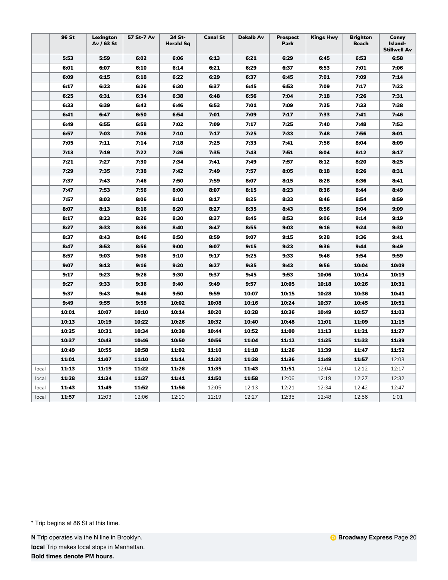|       | 96 St | Lexington<br>Av / 63 St | 57 St-7 Av | 34 St-<br><b>Herald Sq</b> | <b>Canal St</b> | Dekalb Av | <b>Prospect</b><br>Park | <b>Kings Hwy</b> | <b>Brighton</b><br><b>Beach</b> | Coney<br>Island-<br><b>Stillwell Av</b> |
|-------|-------|-------------------------|------------|----------------------------|-----------------|-----------|-------------------------|------------------|---------------------------------|-----------------------------------------|
|       | 5:53  | 5:59                    | 6:02       | 6:06                       | 6:13            | 6:21      | 6:29                    | 6:45             | 6:53                            | 6:58                                    |
|       | 6:01  | 6:07                    | 6:10       | 6:14                       | 6:21            | 6:29      | 6:37                    | 6:53             | 7:01                            | 7:06                                    |
|       | 6:09  | 6:15                    | 6:18       | 6:22                       | 6:29            | 6:37      | 6:45                    | 7:01             | 7:09                            | 7:14                                    |
|       | 6:17  | 6:23                    | 6:26       | 6:30                       | 6:37            | 6:45      | 6:53                    | 7:09             | 7:17                            | 7:22                                    |
|       | 6:25  | 6:31                    | 6:34       | 6:38                       | 6:48            | 6:56      | 7:04                    | 7:18             | 7:26                            | 7:31                                    |
|       | 6:33  | 6:39                    | 6:42       | 6:46                       | 6:53            | 7:01      | 7:09                    | 7:25             | 7:33                            | 7:38                                    |
|       | 6:41  | 6:47                    | 6:50       | 6:54                       | 7:01            | 7:09      | 7:17                    | 7:33             | 7:41                            | 7:46                                    |
|       | 6:49  | 6:55                    | 6:58       | 7:02                       | 7:09            | 7:17      | 7:25                    | 7:40             | 7:48                            | 7:53                                    |
|       | 6:57  | 7:03                    | 7:06       | 7:10                       | 7:17            | 7:25      | 7:33                    | 7:48             | 7:56                            | 8:01                                    |
|       | 7:05  | 7:11                    | 7:14       | 7:18                       | 7:25            | 7:33      | 7:41                    | 7:56             | 8:04                            | 8:09                                    |
|       | 7:13  | 7:19                    | 7:22       | 7:26                       | 7:35            | 7:43      | 7:51                    | 8:04             | 8:12                            | 8:17                                    |
|       | 7:21  | 7:27                    | 7:30       | 7:34                       | 7:41            | 7:49      | 7:57                    | 8:12             | 8:20                            | 8:25                                    |
|       | 7:29  | 7:35                    | 7:38       | 7:42                       | 7:49            | 7:57      | 8:05                    | 8:18             | 8:26                            | 8:31                                    |
|       | 7:37  | 7:43                    | 7:46       | 7:50                       | 7:59            | 8:07      | 8:15                    | 8:28             | 8:36                            | 8:41                                    |
|       | 7:47  | 7:53                    | 7:56       | 8:00                       | 8:07            | 8:15      | 8:23                    | 8:36             | 8:44                            | 8:49                                    |
|       | 7:57  | 8:03                    | 8:06       | 8:10                       | 8:17            | 8:25      | 8:33                    | 8:46             | 8:54                            | 8:59                                    |
|       | 8:07  | 8:13                    | 8:16       | 8:20                       | 8:27            | 8:35      | 8:43                    | 8:56             | 9:04                            | 9:09                                    |
|       | 8:17  | 8:23                    | 8:26       | 8:30                       | 8:37            | 8:45      | 8:53                    | 9:06             | 9:14                            | 9:19                                    |
|       | 8:27  | 8:33                    | 8:36       | 8:40                       | 8:47            | 8:55      | 9:03                    | 9:16             | 9:24                            | 9:30                                    |
|       | 8:37  | 8:43                    | 8:46       | 8:50                       | 8:59            | 9:07      | 9:15                    | 9:28             | 9:36                            | 9:41                                    |
|       | 8:47  | 8:53                    | 8:56       | 9:00                       | 9:07            | 9:15      | 9:23                    | 9:36             | 9:44                            | 9:49                                    |
|       | 8:57  | 9:03                    | 9:06       | 9:10                       | 9:17            | 9:25      | 9:33                    | 9:46             | 9:54                            | 9:59                                    |
|       | 9:07  | 9:13                    | 9:16       | 9:20                       | 9:27            | 9:35      | 9:43                    | 9:56             | 10:04                           | 10:09                                   |
|       | 9:17  | 9:23                    | 9:26       | 9:30                       | 9:37            | 9:45      | 9:53                    | 10:06            | 10:14                           | 10:19                                   |
|       | 9:27  | 9:33                    | 9:36       | 9:40                       | 9:49            | 9:57      | 10:05                   | 10:18            | 10:26                           | 10:31                                   |
|       | 9:37  | 9:43                    | 9:46       | 9:50                       | 9:59            | 10:07     | 10:15                   | 10:28            | 10:36                           | 10:41                                   |
|       | 9:49  | 9:55                    | 9:58       | 10:02                      | 10:08           | 10:16     | 10:24                   | 10:37            | 10:45                           | 10:51                                   |
|       | 10:01 | 10:07                   | 10:10      | 10:14                      | 10:20           | 10:28     | 10:36                   | 10:49            | 10:57                           | 11:03                                   |
|       | 10:13 | 10:19                   | 10:22      | 10:26                      | 10:32           | 10:40     | 10:48                   | 11:01            | 11:09                           | 11:15                                   |
|       | 10:25 | 10:31                   | 10:34      | 10:38                      | 10:44           | 10:52     | 11:00                   | 11:13            | 11:21                           | 11:27                                   |
|       | 10:37 | 10:43                   | 10:46      | 10:50                      | 10:56           | 11:04     | 11:12                   | 11:25            | 11:33                           | 11:39                                   |
|       | 10:49 | 10:55                   | 10:58      | 11:02                      | 11:10           | 11:18     | 11:26                   | 11:39            | 11:47                           | 11:52                                   |
|       | 11:01 | 11:07                   | 11:10      | 11:14                      | 11:20           | 11:28     | 11:36                   | 11:49            | 11:57                           | 12:03                                   |
| local | 11:13 | 11:19                   | 11:22      | 11:26                      | 11:35           | 11:43     | 11:51                   | 12:04            | 12:12                           | 12:17                                   |
| local | 11:28 | 11:34                   | 11:37      | 11:41                      | 11:50           | 11:58     | 12:06                   | 12:19            | 12:27                           | 12:32                                   |
| local | 11:43 | 11:49                   | 11:52      | 11:56                      | 12:05           | 12:13     | 12:21                   | 12:34            | 12:42                           | 12:47                                   |
| local | 11:57 | 12:03                   | 12:06      | 12:10                      | 12:19           | 12:27     | 12:35                   | 12:48            | 12:56                           | 1:01                                    |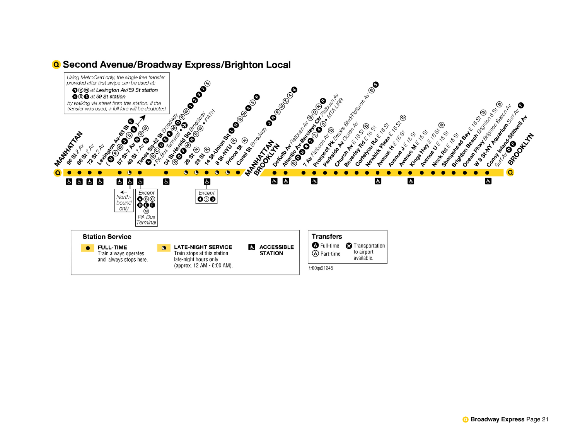